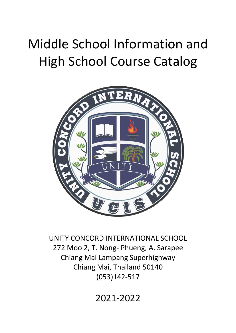# Middle School Information and High School Course Catalog



UNITY CONCORD INTERNATIONAL SCHOOL 272 Moo 2, T. Nong- Phueng, A. Sarapee Chiang Mai Lampang Superhighway Chiang Mai, Thailand 50140 (053)142-517

2021-2022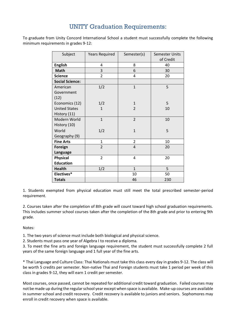# UNITY Graduation Requirements:

To graduate from Unity Concord International School a student must successfully complete the following minimum requirements in grades 9-12:

| Subject                | <b>Years Required</b> | Semester(s)    | <b>Semester Units</b> |
|------------------------|-----------------------|----------------|-----------------------|
|                        |                       |                | of Credit             |
| <b>English</b>         | 4                     | 8              | 40                    |
| <b>Math</b>            | 3                     | 6              | 30                    |
| <b>Science</b>         | $\overline{2}$        | 4              | 20                    |
| <b>Social Science:</b> |                       |                |                       |
| American               | 1/2                   | $\mathbf{1}$   | 5                     |
| Government             |                       |                |                       |
| (12)                   |                       |                |                       |
| Economics (12)         | 1/2                   | $\mathbf{1}$   | 5                     |
| <b>United States</b>   | $\mathbf{1}$          | $\overline{2}$ | 10                    |
| History (11)           |                       |                |                       |
| Modern World           | $\mathbf{1}$          | $\overline{2}$ | 10                    |
| History (10)           |                       |                |                       |
| World                  | 1/2                   | $\overline{1}$ | 5                     |
| Geography (9)          |                       |                |                       |
| <b>Fine Arts</b>       | $\mathbf{1}$          | $\overline{2}$ | 10                    |
| <b>Foreign</b>         | $\overline{2}$        | $\overline{4}$ | 20                    |
| Language               |                       |                |                       |
| <b>Physical</b>        | $\overline{2}$        | 4              | 20                    |
| <b>Education</b>       |                       |                |                       |
| <b>Health</b>          | 1/2                   | $\mathbf{1}$   | 5                     |
| Electives*             |                       | 10             | 50                    |
| <b>Totals</b>          |                       | 46             | 230                   |

1. Students exempted from physical education must still meet the total prescribed semester-period requirement.

2. Courses taken after the completion of 8th grade will count toward high school graduation requirements. This includes summer school courses taken after the completion of the 8th grade and prior to entering 9th grade.

Notes:

1. The two years of science must include both biological and physical science.

2. Students must pass one year of Algebra I to receive a diploma.

3. To meet the fine arts and foreign language requirement, the student must successfully complete 2 full years of the same foreign language and 1 full year of the fine arts.

\* Thai Language and Culture Class: Thai Nationals must take this class every day in grades 9-12. The class will be worth 5 credits per semester. Non-native Thai and Foreign students must take 1 period per week of this class in grades 9-12, they will earn 1 credit per semester.

Most courses, once passed, cannot be repeated for additional credit toward graduation. Failed courses may not be made up during the regular school year except when space is available. Make-up courses are available in summer school and credit recovery. Credit recovery is available to juniors and seniors. Sophomores may enroll in credit recovery when space is available.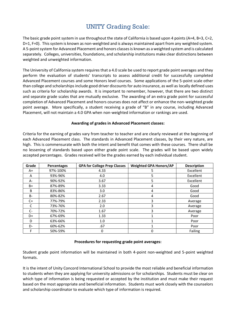# UNITY Grading Scale:

The basic grade point system in use throughout the state of California is based upon 4 points (A=4, B=3, C=2, D=1, F=0). This system is known as non-weighted and is always maintained apart from any weighted system. A 5-point system for Advanced Placement and honors classes is known as a weighted system and is calculated separately. Colleges, universities, foundations, and scholarship institutions make clear distinctions between weighted and unweighted information.

The University of California system requires that a 4.0 scale be used to report grade point averages and they perform the evaluation of students' transcripts to assess additional credit for successfully completed Advanced Placement courses and some Honors level courses. Some applications of the 5-point scale other than college and scholarships include good driver discounts for auto insurance, as well as locally defined uses such as criteria for scholarship awards. It is important to remember, however, that there are two distinct and separate grade scales that are mutually exclusive. The awarding of an extra grade point for successful completion of Advanced Placement and honors courses does not affect or enhance the non-weighted grade point average. More specifically, a student receiving a grade of "B" in any course, including Advanced Placement, will not maintain a 4.0 GPA when non-weighted information or rankings are used.

# **Awarding of grades in Advanced Placement classes:**

Criteria for the earning of grades vary from teacher to teacher and are clearly reviewed at the beginning of each Advanced Placement class. The standards in Advanced Placement classes, by their very nature, are high. This is commensurate with both the intent and benefit that comes with these courses. There shall be no lessening of standards based upon either grade point scale. The grades will be based upon widely accepted percentages. Grades received will be the grades earned by each individual student.

| Grade | <b>Percentages</b> | <b>GPA for College Prep Classes</b> | <b>Weighted GPA Honors/AP</b> | <b>Description</b> |
|-------|--------------------|-------------------------------------|-------------------------------|--------------------|
| A+    | 97%-100%           | 4.33                                | 5                             | Excellent          |
| A     | 93%-96%            | 4.0                                 | 5                             | Excellent          |
| A-    | 90%-92%            | 3.67                                | 5                             | Excellent          |
| $B+$  | 87%-89%            | 3.33                                | 4                             | Good               |
| B     | 83%-86%            | 3.0                                 | 4                             | Good               |
| $B -$ | 80%-82%            | 2.67                                | 4                             | Good               |
| $C+$  | 77%-79%            | 2.33                                | 3                             | Average            |
| C     | 73%-76%            | 2.0                                 | 3                             | Average            |
| $C-$  | 70%-72%            | 1.67                                | 3                             | Average            |
| D+    | 67%-69%            | 1.33                                |                               | Poor               |
| D     | 63%-66%            | 1.0                                 |                               | Poor               |
| D-    | 60%-62%            | .67                                 |                               | Poor               |
|       | 50%-59%            | 0                                   | 0                             | Failing            |

# **Procedures for requesting grade point averages:**

Student grade point information will be maintained in both 4-point non-weighted and 5-point weighted formats.

It is the intent of Unity Concord International School to provide the most reliable and beneficial information to students when they are applying for university admissions or for scholarships. Students must be clear on which type of information is being requested or accepted by the institution and must make their request based on the most appropriate and beneficial information. Students must work closely with the counselors and scholarship coordinator to evaluate which type of information is required.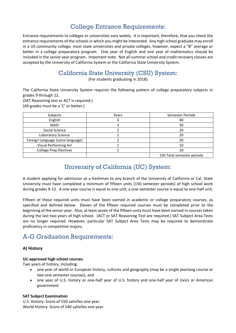# College Entrance Requirements:

Entrance requirements to colleges or universities vary widely. It is important, therefore, that you check the entrance requirements of the schools in which you might be interested. Any high school graduate may enroll in a US community college; most state universities and private colleges, however, expect a "B" average or better in a college preparatory program. One year of English and one year of mathematics should be included in the senior year program. Important note: Not all summer school and credit recovery classes are accepted by the University of California System or the California State University System.

# California State University (CSU) System:

(For students graduating in 2018)

The California State University System requires the following pattern of college preparatory subjects in grades 9 through 12.

(SAT Reasoning test or ACT is required.)

(All grades must be a 'C' or better.)

| Subjects                         | Years | Semester Periods           |
|----------------------------------|-------|----------------------------|
| English                          |       | 40                         |
| Math                             |       | 30                         |
| Social Science                   |       | 20                         |
| Laboratory Science               |       | 20                         |
| Foreign Language (same language) |       | 20                         |
| Visual Performing Art            |       | 10                         |
| <b>College Prep Electives</b>    |       | 10                         |
|                                  |       | 150 Total semester periods |

# University of California (UC) System:

A student applying for admission as a freshman to any branch of the University of California or Cal. State University must have completed a minimum of fifteen units (150 semester periods) of high school work during grades 9-12. A one-year course is equal to one unit; a one-semester course is equal to one-half unit.

Fifteen of these required units must have been earned in academic or college preparatory courses, as specified and defined below. Eleven of the fifteen required courses must be completed prior to the beginning of the senior year. Also, at least seven of the fifteen units must have been earned in courses taken during the last two years of high school. (ACT or SAT Reasoning Test are required.) SAT Subject Area Tests are no longer required. However, particular SAT Subject Area Tests may be required to demonstrate proficiency in competitive majors.

# A-G Graduation Requirements:

# **A) History**

# **UC-approved high school courses**

Two years of history, including:

- one year of world or European history, cultures and geography (may be a single yearlong course or two one-semester courses), and
- one year of U.S. history or one-half year of U.S. history and one-half year of civics or American government

# **SAT Subject Examination**

U.S. History: Score of 550 satisfies one year. World History: Score of 540 satisfies one year.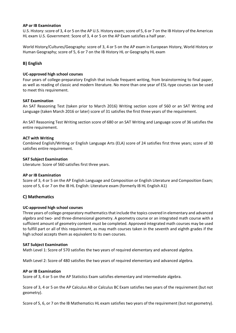#### **AP or IB Examination**

U.S. History: score of 3, 4 or 5 on the AP U.S. History exam; score of 5, 6 or 7 on the IB History of the Americas HL exam U.S. Government: Score of 3, 4 or 5 on the AP Exam satisfies a half year.

World History/Cultures/Geography: score of 3, 4 or 5 on the AP exam in European History, World History or Human Geography; score of 5, 6 or 7 on the IB History HL or Geography HL exam

# **B) English**

# **UC-approved high school courses**

Four years of college-preparatory English that include frequent writing, from brainstorming to final paper, as well as reading of classic and modern literature. No more than one year of ESL-type courses can be used to meet this requirement.

# **SAT Examination**

An SAT Reasoning Test (taken prior to March 2016) Writing section score of 560 or an SAT Writing and Language (taken March 2016 or later) score of 31 satisfies the first three years of the requirement.

An SAT Reasoning Test Writing section score of 680 or an SAT Writing and Language score of 36 satisfies the entire requirement.

# **ACT with Writing**

Combined English/Writing or English Language Arts (ELA) score of 24 satisfies first three years; score of 30 satisfies entire requirement.

# **SAT Subject Examination**

Literature: Score of 560 satisfies first three years.

# **AP or IB Examination**

Score of 3, 4 or 5 on the AP English Language and Composition or English Literature and Composition Exam; score of 5, 6 or 7 on the IB HL English: Literature exam (formerly IB HL English A1)

# **C) Mathematics**

# **UC-approved high school courses**

Three years of college-preparatory mathematics that include the topics covered in elementary and advanced algebra and two- and three-dimensional geometry. A geometry course or an integrated math course with a sufficient amount of geometry content must be completed. Approved integrated math courses may be used to fulfill part or all of this requirement, as may math courses taken in the seventh and eighth grades if the high school accepts them as equivalent to its own courses.

# **SAT Subject Examination**

Math Level 1: Score of 570 satisfies the two years of required elementary and advanced algebra.

Math Level 2: Score of 480 satisfies the two years of required elementary and advanced algebra.

# **AP or IB Examination**

Score of 3, 4 or 5 on the AP Statistics Exam satisfies elementary and intermediate algebra.

Score of 3, 4 or 5 on the AP Calculus AB or Calculus BC Exam satisfies two years of the requirement (but not geometry).

Score of 5, 6, or 7 on the IB Mathematics HL exam satisfies two years of the requirement (but not geometry).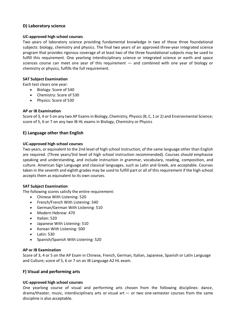# **D) Laboratory science**

# **UC-approved high school courses**

Two years of laboratory science providing fundamental knowledge in two of these three foundational subjects: biology, chemistry and physics. The final two years of an approved three-year integrated science program that provides rigorous coverage of at least two of the three foundational subjects may be used to fulfill this requirement. One yearlong interdisciplinary science or integrated science or earth and space sciences course can meet one year of this requirement — and combined with one year of biology or chemistry or physics, fulfills the full requirement.

# **SAT Subject Examination**

Each test clears one year:

- Biology: Score of 540
- Chemistry: Score of 530
- Physics: Score of 530

# **AP or IB Examination**

Score of 3, 4 or 5 on any two AP Exams in Biology, Chemistry, Physics (B, C, 1 or 2) and Environmental Science; score of 5, 6 or 7 on any two IB HL exams in Biology, Chemistry or Physics

# **E) Language other than English**

# **UC-approved high school courses**

Two years, or equivalent to the 2nd level of high school instruction, of the same language other than English are required. (Three years/3rd level of high school instruction recommended). Courses should emphasize speaking and understanding, and include instruction in grammar, vocabulary, reading, composition, and culture. American Sign Language and classical languages, such as Latin and Greek, are acceptable. Courses taken in the seventh and eighth grades may be used to fulfill part or all of this requirement if the high school accepts them as equivalent to its own courses.

# **SAT Subject Examination**

The following scores satisfy the entire requirement:

- Chinese With Listening: 520
- French/French With Listening: 540
- German/German With Listening: 510
- Modern Hebrew: 470
- Italian: 520
- Japanese With Listening: 510
- Korean With Listening: 500
- Latin: 530
- Spanish/Spanish With Listening: 520

# **AP or IB Examination**

Score of 3, 4 or 5 on the AP Exam in Chinese, French, German, Italian, Japanese, Spanish or Latin Language and Culture; score of 5, 6 or 7 on an IB Language A2 HL exam.

# **F) Visual and performing arts**

# **UC-approved high school courses**

One yearlong course of visual and performing arts chosen from the following disciplines: dance, drama/theater, music, interdisciplinary arts or visual art — or two one-semester courses from the same discipline is also acceptable.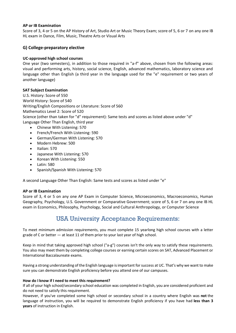# **AP or IB Examination**

Score of 3, 4 or 5 on the AP History of Art, Studio Art or Music Theory Exam; score of 5, 6 or 7 on any one IB HL exam in Dance, Film, Music, Theatre Arts or Visual Arts

# **G) College-preparatory elective**

# **UC-approved high school courses**

One year (two semesters), in addition to those required in "a-f" above, chosen from the following areas: visual and performing arts, history, social science, English, advanced mathematics, laboratory science and language other than English (a third year in the language used for the "e" requirement or two years of another language)

# **SAT Subject Examination**

U.S. History: Score of 550 World History: Score of 540 Writing/English Compositions or Literature: Score of 560 Mathematics Level 2: Score of 520 Science (other than taken for "d" requirement): Same tests and scores as listed above under "d" Language Other Than English, third year

- Chinese With Listening: 570
- French/French With Listening: 590
- German/German With Listening: 570
- Modern Hebrew: 500
- Italian: 570
- Japanese With Listening: 570
- Korean With Listening: 550
- Latin: 580
- Spanish/Spanish With Listening: 570

A second Language Other Than English: Same tests and scores as listed under "e"

# **AP or IB Examination**

Score of 3, 4 or 5 on any one AP Exam in Computer Science, Microeconomics, Macroeconomics, Human Geography, Psychology, U.S. Government or Comparative Government; score of 5, 6 or 7 on any one IB HL exam in Economics, Philosophy, Psychology, Social and Cultural Anthropology, or Computer Science

# USA University Acceptance Requirements:

To meet minimum admission requirements, you must complete 15 yearlong high school courses with a letter grade of C or better — at least 11 of them prior to your last year of high school.

Keep in mind that taking approved high school ("a-g") courses isn't the only way to satisfy these requirements. You also may meet them by completing college courses or earning certain scores on SAT, Advanced Placement or International Baccalaureate exams.

Having a strong understanding of the English language is important for success at UC. That's why we want to make sure you can demonstrate English proficiency before you attend one of our campuses.

# **How do I know if I need to meet this requirement?**

If all of your high school/secondary school education was completed in English, you are considered proficient and do not need to satisfy this requirement.

However, if you've completed some high school or secondary school in a country where English was **not** the language of instruction, you will be required to demonstrate English proficiency if you have had **less than 3 years** of instruction in English.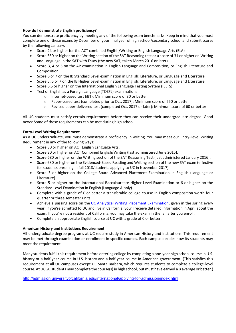# **How do I demonstrate English proficiency?**

You can demonstrate proficiency by meeting any of the following exam benchmarks. Keep in mind that you must complete one of these exams by December of your final year of high school/secondary school and submit scores by the following January.

- Score 24 or higher for the ACT combined English/Writing or English Language Arts (ELA)
- Score 560 or higher on the Writing section of the SAT Reasoning test or a score of 31 or higher on Writing and Language in the SAT with Essay (the new SAT, taken March 2016 or later)
- Score 3, 4 or 5 on the AP examination in English Language and Composition, or English Literature and Composition
- Score 6 or 7 on the IB Standard Level examination in English: Literature, or Language and Literature
- Score 5, 6 or 7 on the IB Higher Level examination in English: Literature, or Language and Literature
- Score 6.5 or higher on the International English Language Testing System (IELTS)
- Test of English as a Foreign Language (TOEFL) examination:
	- o Internet-based test (iBT): Minimum score of 80 or better
	- o Paper-based test (completed prior to Oct. 2017): Minimum score of 550 or better
	- o Revised paper-delivered test (completed Oct. 2017 or later): Minimum score of 60 or better

All UC students must satisfy certain requirements before they can receive their undergraduate degree. Good news: Some of these requirements can be met during high school.

# **Entry-Level Writing Requirement**

As a UC undergraduate, you must demonstrate a proficiency in writing. You may meet our Entry-Level Writing Requirement in any of the following ways:

- Score 30 or higher on ACT English Language Arts.
- Score 30 or higher on ACT Combined English/Writing (last administered June 2015).
- Score 680 or higher on the Writing section of the SAT Reasoning Test (last administered January 2016).
- Score 680 or higher on the Evidenced-Based Reading and Writing section of the new SAT exam (effective for students enrolling in fall 2018/students applying to UC in November 2017).
- Score 3 or higher on the College Board Advanced Placement Examination in English (Language or Literature).
- Score 5 or higher on the International Baccalaureate Higher Level Examination or 6 or higher on the Standard Level Examination in English (Language A only).
- Complete with a grade of C or better a transferable college course in English composition worth four quarter or three semester units.
- Achieve a passing score on the [UC Analytical Writing Placement Examination,](http://www.ucop.edu/elwr/index.html) given in the spring every year. If you're admitted to UC and live in California, you'll receive detailed information in April about the exam. If you're not a resident of California, you may take the exam in the fall after you enroll.
- Complete an appropriate English course at UC with a grade of C or better.

# **American History and Institutions Requirement**

All undergraduate degree programs at UC require study in American History and Institutions. This requirement may be met through examination or enrollment in specific courses. Each campus decides how its students may meet the requirement.

Many students fulfill this requirement before entering college by completing a one-year high school course in U.S. history or a half-year course in U.S. history and a half-year course in American government. (This satisfies this requirement at all UC campuses except UC Santa Barbara, which requires students to complete a college-level course. At UCLA, students may complete the course(s) in high school, but must have earned a B average or better.)

<http://admission.universityofcalifornia.edu/international/applying-for-admission/index.html>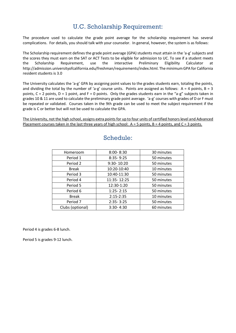# U.C. Scholarship Requirement:

The procedure used to calculate the grade point average for the scholarship requirement has several complications. For details, you should talk with your counselor. In general, however, the system is as follows:

The Scholarship requirement defines the grade point average (GPA) students must attain in the 'a-g' subjects and the scores they must earn on the SAT or ACT Tests to be eligible for admission to UC. To see if a student meets the Scholarship Requirement, use the interactive Preliminary Eligibility Calculator at http://admission.universityofcalifornia.edu/freshman/requirements/index.html. The minimum GPA for California resident students is 3.0

The University calculates the 'a-g' GPA by assigning point values to the grades students earn, totaling the points, and dividing the total by the number of 'a-g' course units. Points are assigned as follows:  $A = 4$  points,  $B = 3$ points,  $C = 2$  points,  $D = 1$  point, and  $F = 0$  points. Only the grades students earn in the "a-g" subjects taken in grades 10 & 11 are used to calculate the preliminary grade point average. 'a-g' courses with grades of D or F must be repeated or validated. Courses taken in the 9th grade can be used to meet the subject requirement if the grade is C or better but will not be used to calculate the GPA.

The University, not the high school, assigns extra points for up to four units of certified honors level and Advanced Placement courses taken in the last three years of high school:  $A = 5$  points,  $B = 4$  points, and  $C = 3$  points.

| Homeroom         | $8:00 - 8:30$ | 30 minutes |
|------------------|---------------|------------|
| Period 1         | $8:35 - 9:25$ | 50 minutes |
| Period 2         | 9:30-10:20    | 50 minutes |
| <b>Break</b>     | 10:20-10:40   | 10 minutes |
| Period 3         | 10:40-11:30   | 50 minutes |
| Period 4         | 11:35 - 12:25 | 50 minutes |
| Period 5         | 12:30-1:20    | 50 minutes |
| Period 6         | $1:25 - 2:15$ | 50 minutes |
| <b>Break</b>     | $2:15 - 2:35$ | 10 minutes |
| Period 7         | $2:35 - 3:25$ | 50 minutes |
| Clubs (optional) | $3:30 - 4:30$ | 60 minutes |

# Schedule:

Period 4 is grades 6-8 lunch.

Period 5 is grades 9-12 lunch.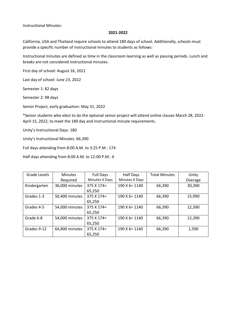Instructional Minutes:

#### **2021-2022**

California, USA and Thailand require schools to attend 180 days of school. Additionally, schools must provide a specific number of instructional minutes to students as follows:

Instructional minutes are defined as time in the classroom learning as well as passing periods. Lunch and breaks are not considered instructional minutes.

First day of school: August 16, 2021

Last day of school: June 23, 2022

Semester 1: 82 days

Semester 2: 98 days

Senior Project, early graduation: May 31, 2022

\*Senior students who elect to do the optional senior project will attend online classes March 28, 2022- April 15, 2022, to meet the 180 day and instructional minute requirements.

Unity's Instructional Days: 180

Unity's Instructional Minutes: 66,390

Full days attending from 8:00 A.M. to 3:25 P.M.: 174

Half days attending from 8:00 A.M. to 12:00 P.M.: 6

| Grade Levels | <b>Minutes</b><br>Required | <b>Full Days</b><br>Minutes X Days | Half Days<br>Minutes X Days | <b>Total Minutes</b> | Unity<br>Overage |
|--------------|----------------------------|------------------------------------|-----------------------------|----------------------|------------------|
| Kindergarten | 36,000 minutes             | $375 \times 174 =$<br>65,250       | $190 X 6 = 1140$            | 66,390               | 30,390           |
| Grades 1-3   | 50,400 minutes             | $375 X 174 =$<br>65.250            | $190 X 6 = 1140$            | 66,390               | 15,990           |
| Grades 4-5   | 54,000 minutes             | $375 \times 174 =$<br>65,250       | $190 X 6 = 1140$            | 66,390               | 12,390           |
| Grade 6-8    | 54,000 minutes             | $375 \times 174 =$<br>65,250       | $190 X 6 = 1140$            | 66,390               | 12,390           |
| Grades 9-12  | 64,800 minutes             | $375 X 174 =$<br>65,250            | $190 X 6 = 1140$            | 66,390               | 1,590            |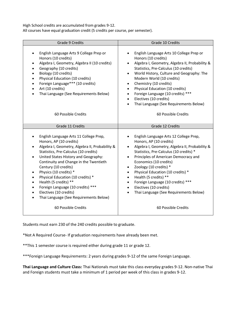High School credits are accumulated from grades 9-12. All courses have equal graduation credit (5 credits per course, per semester).

| Grade 9 Credits                                                                                                                                                                                                                                                                                                                                                                                                                                                                                                | Grade 10 Credits                                                                                                                                                                                                                                                                                                                                                                                                                                                                                                             |  |  |
|----------------------------------------------------------------------------------------------------------------------------------------------------------------------------------------------------------------------------------------------------------------------------------------------------------------------------------------------------------------------------------------------------------------------------------------------------------------------------------------------------------------|------------------------------------------------------------------------------------------------------------------------------------------------------------------------------------------------------------------------------------------------------------------------------------------------------------------------------------------------------------------------------------------------------------------------------------------------------------------------------------------------------------------------------|--|--|
| English Language Arts 9 College Prep or<br>Honors (10 credits)<br>Algebra I, Geometry, Algebra II (10 credits)<br>$\bullet$<br>Geography (10 credits)<br>Biology (10 credits)<br>$\bullet$<br>Physical Education (10 credits)<br>Foreign Language*** (10 credits)<br>Art (10 credits)<br>Thai Language (See Requirements Below)                                                                                                                                                                                | English Language Arts 10 College Prep or<br>$\bullet$<br>Honors (10 credits)<br>Algebra I, Geometry, Algebra II, Probability &<br>$\bullet$<br>Statistics, Pre-Calculus (10 credits)<br>World History, Culture and Geography: The<br>$\bullet$<br>Modern World (10 credits)<br>Chemistry (10 credits)<br>$\bullet$<br>Physical Education (10 credits)<br>$\bullet$<br>Foreign Language (10 credits) ***<br>$\bullet$<br>Electives (10 credits)<br>Thai Language (See Requirements Below)                                     |  |  |
| 60 Possible Credits                                                                                                                                                                                                                                                                                                                                                                                                                                                                                            | 60 Possible Credits                                                                                                                                                                                                                                                                                                                                                                                                                                                                                                          |  |  |
| Grade 11 Credits                                                                                                                                                                                                                                                                                                                                                                                                                                                                                               | Grade 12 Credits                                                                                                                                                                                                                                                                                                                                                                                                                                                                                                             |  |  |
| English Language Arts 11 College Prep,<br>Honors, AP (10 credits)<br>Algebra I, Geometry, Algebra II, Probability &<br>Statistics, Pre-Calculus (10 credits)<br>United States History and Geography:<br>Continuity and Change in the Twentieth<br>Century (10 credits)<br>Physics (10 credits) *<br>$\bullet$<br>Physical Education (10 credits) *<br>$\bullet$<br>Health (5 credits) **<br>$\bullet$<br>Foreign Language (10 credits) ***<br>Electives (10 credits)<br>Thai Language (See Requirements Below) | English Language Arts 12 College Prep,<br>$\bullet$<br>Honors, AP (10 credits)<br>Algebra I, Geometry, Algebra II, Probability &<br>$\bullet$<br>Statistics, Pre-Calculus (10 credits) *<br>Principles of American Democracy and<br>$\bullet$<br>Economics (10 credits)<br>Zoology (10 credits) *<br>$\bullet$<br>Physical Education (10 credits) *<br>$\bullet$<br>Health (5 credits) **<br>$\bullet$<br>Foreign Language (10 credits) ***<br>$\bullet$<br>Electives (10 credits)<br>Thai Language (See Requirements Below) |  |  |
| 60 Possible Credits                                                                                                                                                                                                                                                                                                                                                                                                                                                                                            | 60 Possible Credits                                                                                                                                                                                                                                                                                                                                                                                                                                                                                                          |  |  |

Students must earn 230 of the 240 credits possible to graduate.

\*Not A Required Course- If graduation requirements have already been met.

\*\*This 1 semester course is required either during grade 11 or grade 12.

\*\*\*Foreign Language Requirements: 2 years during grades 9-12 of the same Foreign Language.

**Thai Language and Culture Class:** Thai Nationals must take this class everyday grades 9-12. Non-native Thai and Foreign students must take a minimum of 1 period per week of this class in grades 9-12.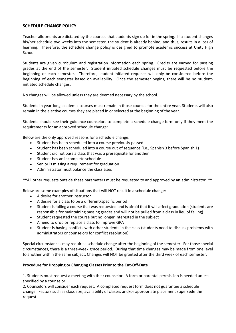# **SCHEDULE CHANGE POLICY**

Teacher allotments are dictated by the courses that students sign up for in the spring. If a student changes his/her schedule two weeks into the semester, the student is already behind, and thus, results in a loss of learning. Therefore, the schedule change policy is designed to promote academic success at Unity High School.

Students are given curriculum and registration information each spring. Credits are earned for passing grades at the end of the semester. Student initiated schedule changes must be requested before the beginning of each semester. Therefore, student-initiated requests will only be considered before the beginning of each semester based on availability. Once the semester begins, there will be no studentinitiated schedule changes.

No changes will be allowed unless they are deemed necessary by the school.

Students in year-long academic courses must remain in those courses for the entire year. Students will also remain in the elective courses they are placed in or selected at the beginning of the year.

Students should see their guidance counselors to complete a schedule change form only if they meet the requirements for an approved schedule change:

Below are the only approved reasons for a schedule change:

- Student has been scheduled into a course previously passed
- Student has been scheduled into a course out of sequence (i.e., Spanish 3 before Spanish 1)
- Student did not pass a class that was a prerequisite for another
- Student has an incomplete schedule
- Senior is missing a requirement for graduation
- Administrator must balance the class sizes

\*\*All other requests outside these parameters must be requested to and approved by an administrator. \*\*

Below are some examples of situations that will NOT result in a schedule change:

- A desire for another instructor
- A desire for a class to be a different/specific period
- Student is failing a course that was requested and is afraid that it will affect graduation (students are responsible for maintaining passing grades and will not be pulled from a class in lieu of failing)
- Student requested the course but no longer interested in the subject
- A need to drop or replace a class to improve GPA
- Student is having conflicts with other students in the class (students need to discuss problems with administrators or counselors for conflict resolution)

Special circumstances may require a schedule change after the beginning of the semester. For those special circumstances, there is a three-week grace period. During that time changes may be made from one level to another within the same subject. Changes will NOT be granted after the third week of each semester.

# **Procedure for Dropping or Changing Classes Prior to the Cut-Off-Date**

1. Students must request a meeting with their counselor. A form or parental permission is needed unless specified by a counselor.

2. Counselors will consider each request. A completed request form does not guarantee a schedule change. Factors such as class size, availability of classes and/or appropriate placement supersede the request.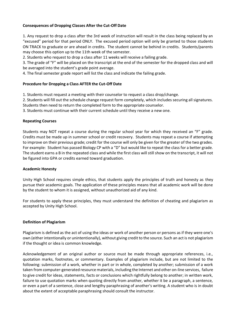# **Consequences of Dropping Classes After the Cut-Off Date**

1. Any request to drop a class after the 3rd week of instruction will result in the class being replaced by an "excused" period for that period ONLY. The excused period option will only be granted to those students ON TRACK to graduate or are ahead in credits. The student cannot be behind in credits. Students/parents may choose this option up to the 11th week of the semester.

2. Students who request to drop a class after 11 weeks will receive a failing grade.

3. The grade of "F" will be placed on the transcript at the end of the semester for the dropped class and will be averaged into the student's grade point average.

4. The final semester grade report will list the class and indicate the failing grade.

# **Procedure for Dropping a Class AFTER the Cut-Off Date**

1. Students must request a meeting with their counselor to request a class drop/change.

2. Students will fill out the schedule change request form completely, which includes securing all signatures. Students then need to return the completed form to the appropriate counselor.

3. Students must continue with their current schedule until they receive a new one.

# **Repeating Courses**

Students may NOT repeat a course during the regular school year for which they received an "F" grade. Credits must be made up in summer school or credit recovery. Students may repeat a course if attempting to improve on their previous grade; credit for the course will only be given for the greater of the two grades. For example: Student has passed Biology CP with a "D" but would like to repeat the class for a better grade. The student earns a B in the repeated class and while the first class will still show on the transcript, it will not be figured into GPA or credits earned toward graduation.

# **Academic Honesty**

Unity High School requires simple ethics, that students apply the principles of truth and honesty as they pursue their academic goals. The application of these principles means that all academic work will be done by the student to whom it is assigned, without unauthorized aid of any kind.

For students to apply these principles, they must understand the definition of cheating and plagiarism as accepted by Unity High School.

# **Definition of Plagiarism**

Plagiarism is defined as the act of using the ideas or work of another person or persons as if they were one's own (either intentionally or unintentionally), without giving credit to the source. Such an act is not plagiarism if the thought or idea is common knowledge.

Acknowledgement of an original author or source must be made through appropriate references, i.e., quotation marks, footnotes, or commentary. Examples of plagiarism include, but are not limited to the following: submission of a work, whether in part or in whole, completed by another; submission of a work taken from computer-generated resource materials, including the Internet and other on-line services, failure to give credit for ideas, statements, facts or conclusions which rightfully belong to another; in written work, failure to use quotation marks when quoting directly from another, whether it be a paragraph, a sentence, or even a part of a sentence, close and lengthy paraphrasing of another's writing. A student who is in doubt about the extent of acceptable paraphrasing should consult the instructor.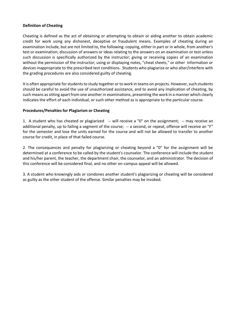# **Definition of Cheating**

Cheating is defined as the act of obtaining or attempting to obtain or aiding another to obtain academic credit for work using any dishonest, deceptive or fraudulent means. Examples of cheating during an examination include, but are not limited to, the following: copying, either in part or in whole, from another's test or examination; discussion of answers or ideas relating to the answers on an examination or test unless such discussion is specifically authorized by the instructor; giving or receiving copies of an examination without the permission of the instructor; using or displaying notes, "cheat sheets," or other information or devices inappropriate to the prescribed test conditions. Students who plagiarize or who alter/interfere with the grading procedures are also considered guilty of cheating.

It is often appropriate for students to study together or to work in teams on projects. However, such students should be careful to avoid the use of unauthorized assistance, and to avoid any implication of cheating, by such means as sitting apart from one another in examinations, presenting the work in a manner which clearly indicates the effort of each individual, or such other method as is appropriate to the particular course.

# **Procedures/Penalties for Plagiarism or Cheating**

1. A student who has cheated or plagiarized -- will receive a "0" on the assignment; -- may receive an additional penalty, up to failing a segment of the course; -- a second, or repeat, offense will receive an "F" for the semester and lose the units earned for the course and will not be allowed to transfer to another course for credit, in place of that failed course.

2. The consequences and penalty for plagiarizing or cheating beyond a "0" for the assignment will be determined at a conference to be called by the student's counselor. The conference will include the student and his/her parent, the teacher, the department chair, the counselor, and an administrator. The decision of this conference will be considered final, and no other on-campus appeal will be allowed.

3. A student who knowingly aids or condones another student's plagiarizing or cheating will be considered as guilty as the other student of the offense. Similar penalties may be invoked.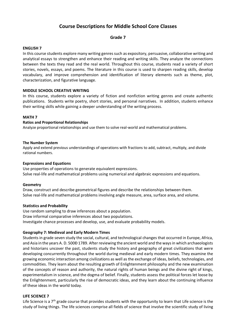# **Course Descriptions for Middle School Core Classes**

# **Grade 7**

#### **ENGLISH 7**

In this course students explore many writing genres such as expository, persuasive, collaborative writing and analytical essays to strengthen and enhance their reading and writing skills. They analyze the connections between the texts they read and the real world. Throughout this course, students read a variety of short stories, novels, essays, and poems. The literature in this course is used to sharpen reading skills, develop vocabulary, and improve comprehension and identification of literary elements such as theme, plot, characterization, and figurative language.

#### **MIDDLE SCHOOL CREATIVE WRITING**

In this course, students explore a variety of fiction and nonfiction writing genres and create authentic publications. Students write poetry, short stories, and personal narratives. In addition, students enhance their writing skills while gaining a deeper understanding of the writing process.

#### **MATH 7**

#### **Ratios and Proportional Relationships**

Analyze proportional relationships and use them to solve real-world and mathematical problems.

#### **The Number System**

Apply and extend previous understandings of operations with fractions to add, subtract, multiply, and divide rational numbers.

#### **Expressions and Equations**

Use properties of operations to generate equivalent expressions. Solve real-life and mathematical problems using numerical and algebraic expressions and equations.

# **Geometry**

Draw, construct and describe geometrical figures and describe the relationships between them. Solve real-life and mathematical problems involving angle measure, area, surface area, and volume.

# **Statistics and Probability**

Use random sampling to draw inferences about a population. Draw informal comparative inferences about two populations. Investigate chance processes and develop, use, and evaluate probability models.

# **Geography 7: Medieval and Early Modern Times**

Students in grade seven study the social, cultural, and technological changes that occurred in Europe, Africa, and Asia in the years A. D. 500Ð 1789. After reviewing the ancient world and the ways in which archaeologists and historians uncover the past, students study the history and geography of great civilizations that were developing concurrently throughout the world during medieval and early modern times. They examine the growing economic interaction among civilizations as well as the exchange of ideas, beliefs, technologies, and commodities. They learn about the resulting growth of Enlightenment philosophy and the new examination of the concepts of reason and authority, the natural rights of human beings and the divine right of kings, experimentalism in science, and the dogma of belief. Finally, students assess the political forces let loose by the Enlightenment, particularly the rise of democratic ideas, and they learn about the continuing influence of these ideas in the world today.

# **LIFE SCIENCE 7**

Life Science is a  $7<sup>th</sup>$  grade course that provides students with the opportunity to learn that Life science is the study of living things. The life sciences comprise all [fields of science](http://en.wikipedia.org/wiki/Fields_of_science) that involve the scientific study of [living](http://en.wikipedia.org/wiki/Living_organism)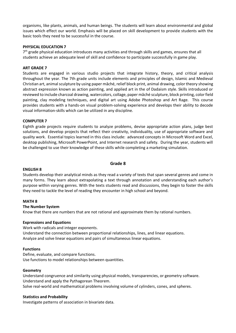[organisms,](http://en.wikipedia.org/wiki/Living_organism) like [plants,](http://en.wikipedia.org/wiki/Plant) [animals,](http://en.wikipedia.org/wiki/Animal) an[d human beings.](http://en.wikipedia.org/wiki/Human_being) The students will learn about environmental and global issues which effect our world. Emphasis will be placed on skill development to provide students with the basic tools they need to be successful in the course.

#### **PHYSICAL EDUCATION 7**

7<sup>th</sup> grade physical education introduces many activities and through skills and games, ensures that all students achieve an adequate level of skill and confidence to participate successfully in game play.

#### **ART GRADE 7**

Students are engaged in various studio projects that integrate history, theory, and critical analysis throughout the year. The 7th grade units include elements and principles of design, Islamic and Medieval Christian art, animal sculpture by using paper mâché, relief block print, animal drawing, color theory showing abstract expression known as action painting, and applied art in the of Dadaism style. Skills introduced or reviewed to include charcoal drawing, watercolors, collage, paper mâché sculpture, block printing, color field painting, clay modeling techniques, and digital art using Adobe Photoshop and Art Rage. This course provides students with a hands-on visual problem-solving experience and develops their ability to decode visual information-skills which can be utilized in any discipline.

#### **COMPUTER 7**

Eighth grade projects require students to analyze problems, devise appropriate action plans, judge best solutions, and develop projects that reflect their creativity, individuality, use of appropriate software and quality work. Essential topics learned in this class include: advanced concepts in Microsoft Word and Excel, desktop publishing, Microsoft PowerPoint, and Internet research and safety. During the year, students will be challenged to use their knowledge of these skills while completing a marketing simulation.

#### **Grade 8**

#### **ENGLISH 8**

Students develop their analytical minds as they read a variety of texts that span several genres and come in many forms. They learn about extrapolating a text through annotation and understanding each author's purpose within varying genres. With the texts students read and discussions, they begin to foster the skills they need to tackle the level of reading they encounter in high school and beyond.

#### **MATH 8**

#### **The Number System**

Know that there are numbers that are not rational and approximate them by rational numbers.

#### **Expressions and Equations**

Work with radicals and integer exponents. Understand the connection between proportional relationships, lines, and linear equations. Analyze and solve linear equations and pairs of simultaneous linear equations.

#### **Functions**

Define, evaluate, and compare functions. Use functions to model relationships between quantities.

#### **Geometry**

Understand congruence and similarity using physical models, transparencies, or geometry software. Understand and apply the Pythagorean Theorem.

Solve real-world and mathematical problems involving volume of cylinders, cones, and spheres.

#### **Statistics and Probability**

Investigate patterns of association in bivariate data.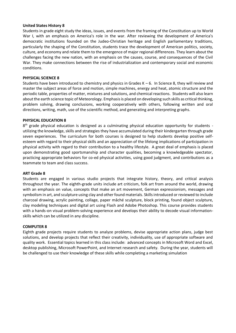#### **United States History 8**

Students in grade eight study the ideas, issues, and events from the framing of the Constitution up to World War I, with an emphasis on America's role in the war. After reviewing the development of America's democratic institutions founded on the Judeo-Christian heritage and English parliamentary traditions, particularly the shaping of the Constitution, students trace the development of American politics, society, culture, and economy and relate them to the emergence of major regional differences. They learn about the challenges facing the new nation, with an emphasis on the causes, course, and consequences of the Civil War. They make connections between the rise of industrialization and contemporary social and economic conditions.

#### **PHYSICAL SCIENCE 8**

Students have been introduced to chemistry and physics in Grades  $K - 6$ . In Science 8, they will review and master the subject areas of force and motion, simple machines, energy and heat, atomic structure and the periodic table, properties of matter, mixtures and solutions, and chemical reactions. Students will also learn about the earth science topic of Meteorology. Emphasis is placed on developing such skills as critical thinking, problem solving, drawing conclusions, working cooperatively with others, following written and oral directions, writing, math, use of the scientific method, and generating and interpreting graphs.

#### **PHYSICAL EDUCATION 8**

8<sup>th</sup> grade physical education is designed as a culminating physical education opportunity for students utilizing the knowledge, skills and strategies they have accumulated during their kindergarten through grade seven experiences. The curriculum for both courses is designed to help students develop positive selfesteem with regard to their physical skills and an appreciation of the lifelong implications of participation in physical activity with regard to their contribution to a healthy lifestyle. A great deal of emphasis is placed upon demonstrating good sportsmanship and character qualities, becoming a knowledgeable spectator, practicing appropriate behaviors for co-ed physical activities, using good judgment, and contributions as a teammate to team and class success.

#### **ART Grade 8**

Students are engaged in various studio projects that integrate history, theory, and critical analysis throughout the year. The eighth-grade units include art criticism, folk art from around the world, drawing with an emphasis on value, concepts that make an art movement, German expressionism, messages and symbolism in art, and sculpture using clay and other found materials. Skills introduced or reviewed to include charcoal drawing, acrylic painting, collage, paper mâché sculpture, block printing, found object sculpture, clay modeling techniques and digital art using Flash and Adobe Photoshop. This course provides students with a hands-on visual problem-solving experience and develops their ability to decode visual informationskills which can be utilized in any discipline.

#### **COMPUTER 8**

Eighth grade projects require students to analyze problems, devise appropriate action plans, judge best solutions, and develop projects that reflect their creativity, individuality, use of appropriate software and quality work. Essential topics learned in this class include: advanced concepts in Microsoft Word and Excel, desktop publishing, Microsoft PowerPoint, and Internet research and safety. During the year, students will be challenged to use their knowledge of these skills while completing a marketing simulation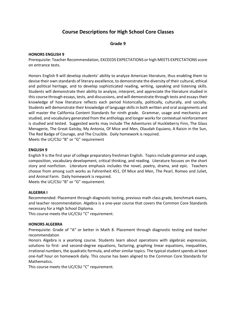# **Course Descriptions for High School Core Classes**

# **Grade 9**

# **HONORS ENGLISH 9**

Prerequisite: Teacher Recommendation, EXCEEDS EXPECTATIONS or high MEETS EXPECTATIONS score on entrance tests.

Honors English 9 will develop students' ability to analyze American literature, thus enabling them to devise their own standards of literary excellence, to demonstrate the diversity of their cultural, ethical and political heritage, and to develop sophisticated reading, writing, speaking and listening skills. Students will demonstrate their ability to analyze, interpret, and appreciate the literature studied in this course through essays, tests, and discussions, and will demonstrate through tests and essays their knowledge of how literature reflects each period historically, politically, culturally, and socially. Students will demonstrate their knowledge of language skills in both written and oral assignments and will master the California Content Standards for ninth grade. Grammar, usage and mechanics are studied, and vocabulary generated from the anthology and longer works for contextual reinforcement is studied and tested. Suggested works may include The Adventures of Huckleberry Finn, The Glass Menagerie, The Great Gatsby, My Antonia, Of Mice and Men, Olaudah Equiano, A Raisin in the Sun, The Red Badge of Courage, and The Crucible. Daily homework is required. Meets the UC/CSU "B" or "G" requirement

# **ENGLISH 9**

English 9 is the first year of college preparatory freshman English. Topics include grammar and usage, composition, vocabulary development, critical thinking, and reading. Literature focuses on the short story and nonfiction. Literature emphasis includes the novel, poetry, drama, and epic. Teachers choose from among such works as Fahrenheit 451, Of Mice and Men, The Pearl, Romeo and Juliet, and Animal Farm. Daily homework is required.

Meets the UC/CSU "B" or "G" requirement.

# **ALGEBRA I**

Recommended: Placement through diagnostic testing, previous math class grade, benchmark exams, and teacher recommendation. Algebra is a one-year course that covers the Common Core Standards necessary for a High School Diploma.

This course meets the UC/CSU "C" requirement.

# **HONORS ALGEBRA**

Prerequisite: Grade of "A" or better in Math 8. Placement through diagnostic testing and teacher recommendation

Honors Algebra is a yearlong course. Students learn about operations with algebraic expression, solutions to first- and second-degree equations, factoring, graphing linear equations, inequalities, irrational numbers, the quadratic formula, and other similar topics. The typical student spends at least one-half hour on homework daily. This course has been aligned to the Common Core Standards for Mathematics.

This course meets the UC/CSU "C" requirement.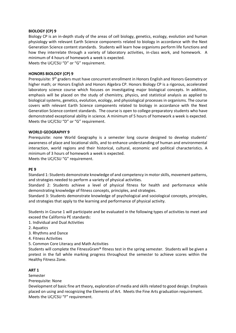# **BIOLOGY (CP) 9**

Biology CP is an in-depth study of the areas of cell biology, genetics, ecology, evolution and human physiology with relevant Earth Science components related to biology in accordance with the Next Generation Science content standards. Students will learn how organisms perform life functions and how they interrelate through a variety of laboratory activities, in-class work, and homework. A minimum of 4 hours of homework a week is expected.

Meets the UC/CSU "D" or "G" requirement.

#### **HONORS BIOLOGY (CP) 9**

Prerequisite: 9<sup>th</sup> graders must have concurrent enrollment in Honors English and Honors Geometry or higher math; or Honors English and Honors Algebra CP. Honors Biology CP is a rigorous, accelerated laboratory science course which focuses on investigating major biological concepts. In addition, emphasis will be placed on the study of chemistry, physics, and statistical analysis as applied to biological systems, genetics, evolution, ecology, and physiological processes in organisms. The course covers with relevant Earth Science components related to biology in accordance with the Next Generation Science content standards. The course is open to college-preparatory students who have demonstrated exceptional ability in science. A minimum of 5 hours of homework a week is expected. Meets the UC/CSU "D" or "G" requirement.

# **WORLD GEOGRAPHY 9**

Prerequisite: none World Geography is a semester long course designed to develop students' awareness of place and locational skills, and to enhance understanding of human and environmental interaction, world regions and their historical, cultural, economic and political characteristics. A minimum of 3 hours of homework a week is expected.

Meets the UC/CSU "G" requirement.

#### **PE 9**

Standard 1: Students demonstrate knowledge of and competency in motor skills, movement patterns, and strategies needed to perform a variety of physical activities.

Standard 2: Students achieve a level of physical fitness for health and performance while demonstrating knowledge of fitness concepts, principles, and strategies.

Standard 3: Students demonstrate knowledge of psychological and sociological concepts, principles, and strategies that apply to the learning and performance of physical activity.

Students in Course 1 will participate and be evaluated in the following types of activities to meet and exceed the California PE standards:

1. Individual and Dual Activities

- 2. Aquatics
- 3. Rhythms and Dance
- 4. Fitness Activities
- 5. Common Core Literacy and Math Activities

Students will complete the FitnessGram® fitness test in the spring semester. Students will be given a pretest in the fall while marking progress throughout the semester to achieve scores within the Healthy Fitness Zone.

#### **ART 1**

Semester

Prerequisite: None

Development of basic fine art theory, exploration of media and skills related to good design. Emphasis placed on using and recognizing the Elements of Art. Meets the Fine Arts graduation requirement. Meets the UC/CSU "F" requirement.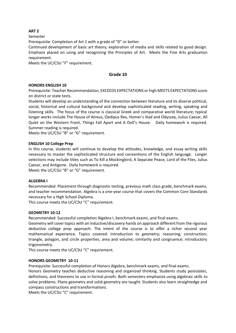# **ART 2**

Semester

Prerequisite: Completion of Art 1 with a grade of "D" or better.

Continued development of basic art theory, exploration of media and skills related to good design. Emphasis placed on using and recognizing the Principles of Art. Meets the Fine Arts graduation requirement.

Meets the UC/CSU "F" requirement.

# **Grade 10**

# **HONORS ENGLISH 10**

Prerequisite: Teacher Recommendation, EXCEEDS EXPECTATIONS or high MEETS EXPECTATIONS score on district or state tests.

Students will develop an understanding of the connection between literature and its diverse political, social, historical and cultural background and develop sophisticated reading, writing, speaking and listening skills. The focus of the course is classical Greek and comparative world literature; typical longer works include The House of Atreus, Oedipus Rex, Homer's Iliad and Odyssey, Julius Caesar, All Quiet on the Western Front, Things Fall Apart and A Doll's House. Daily homework is required. Summer reading is required.

Meets the UC/CSU "B" or "G" requirement.

# **ENGLISH 10 College Prep**

In this course, students will continue to develop the attitudes, knowledge, and essay writing skills necessary to master the sophisticated structure and conventions of the English language. Longer selections may include titles such as To Kill a Mockingbird, A Separate Peace, Lord of the Flies, Julius Caesar, and Antigone. Daily homework is required.

Meets the UC/CSU "B" or "G" requirement.

# **ALGEBRA I**

Recommended: Placement through diagnostic testing, previous math class grade, benchmark exams, and teacher recommendation. Algebra is a one-year course that covers the Common Core Standards necessary for a High School Diploma.

This course meets the UC/CSU "C" requirement.

# **GEOMETRY 10-12**

Recommended: Successful completion Algebra I, benchmark exams, and final exams.

Geometry will cover topics with an inductive/discovery hands on approach different from the rigorous deductive college prep approach. The intent of the course is to offer a richer second year mathematical experience. Topics covered: Introduction to geometry; reasoning; construction; triangle, polygon, and circle properties; area and volume; similarity and congruence; introductory trigonometry.

This course meets the UC/CSU "C" requirement.

# **HONORS GEOMETRY 10-11**

Prerequisite: Successful completion of Honors Algebra, benchmark exams, and final exams.

Honors Geometry teaches deductive reasoning and organized thinking. Students study postulates, definitions, and theorems to use in formal proofs. Both semesters emphasize using algebraic skills to solve problems. Plane geometry and solid geometry are taught. Students also learn straightedge and compass constructions and transformations.

Meets the UC/CSU "C" requirement.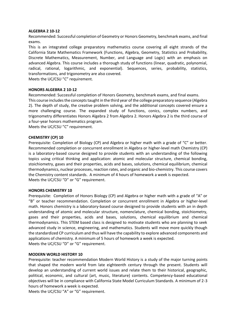#### **ALGEBRA 2 10-12**

Recommended: Successful completion of Geometry or Honors Geometry, benchmark exams, and final exams.

This is an integrated college preparatory mathematics course covering all eight strands of the California State Mathematics Framework (Functions, Algebra, Geometry, Statistics and Probability, Discrete Mathematics, Measurement, Number, and Language and Logic) with an emphasis on advanced Algebra. This course includes a thorough study of functions (linear, quadratic, polynomial, radical, rational, logarithmic, and exponential). Sequences, series, probability, statistics, transformations, and trigonometry are also covered.

Meets the UC/CSU "C" requirement.

#### **HONORS ALGEBRA 2 10-12**

Recommended: Successful completion of Honors Geometry, benchmark exams, and final exams. This course includes the concepts taught in the third year of the college preparatory sequence (Algebra 2). The depth of study, the creative problem solving, and the additional concepts covered ensure a more challenging course. The expanded study of functions, conics, complex numbers, and

trigonometry differentiates Honors Algebra 2 from Algebra 2. Honors Algebra 2 is the third course of a four-year honors mathematics program.

Meets the UC/CSU "C" requirement.

#### **CHEMISTRY (CP) 10**

Prerequisite: Completion of Biology (CP) and Algebra or higher math with a grade of "C" or better. Recommended completion or concurrent enrollment in Algebra or higher-level math Chemistry (CP) is a laboratory-based course designed to provide students with an understanding of the following topics using critical thinking and application: atomic and molecular structure, chemical bonding, stoichiometry, gases and their properties, acids and bases, solutions, chemical equilibrium, chemical thermodynamics, nuclear processes, reaction rates, and organic and bio-chemistry. This course covers the Chemistry content standards. A minimum of 4 hours of homework a week is expected. Meets the UC/CSU "D" or "G" requirement.

#### **HONORS CHEMISTRY 10**

Prerequisite: Completion of Honors Biology (CP) and Algebra or higher math with a grade of "A" or "B" or teacher recommendation. Completion or concurrent enrollment in Algebra or higher-level math. Honors chemistry is a laboratory-based course designed to provide students with an in depth understanding of atomic and molecular structure, nomenclature, chemical bonding, stoichiometry, gases and their properties, acids and bases, solutions, chemical equilibrium and chemical thermodynamics. This STEM based class is designed to motivate students who are planning to seek advanced study in science, engineering, and mathematics. Students will move more quickly though the standardized CP curriculum and thus will have the capability to explore advanced components and applications of chemistry. A minimum of 5 hours of homework a week is expected. Meets the UC/CSU "D" or "G" requirement.

#### **MODERN WORLD HISTORY 10**

Prerequisite: teacher recommendation Modern World History is a study of the major turning points that shaped the modern world from late eighteenth century through the present. Students will develop an understanding of current world issues and relate them to their historical, geographic, political, economic, and cultural (art, music, literature) contents. Competency-based educational objectives will be in compliance with California State Model Curriculum Standards. A minimum of 2-3 hours of homework a week is expected.

Meets the UC/CSU "A" or "G" requirement.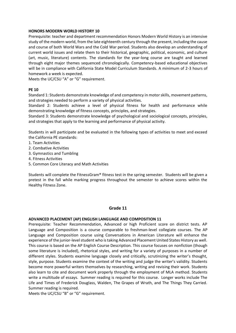#### **HONORS MODERN WORLD HISTORY 10**

Prerequisite: teacher and department recommendation Honors Modern World History is an intensive study of the modern world, from the late eighteenth century through the present, including the cause and course of both World Wars and the Cold War period. Students also develop an understanding of current world issues and relate them to their historical, geographic, political, economic, and culture (art, music, literature) contents. The standards for the year-long course are taught and learned through eight major themes sequenced chronologically. Competency-based educational objectives will be in compliance with California State Model Curriculum Standards. A minimum of 2-3 hours of homework a week is expected.

Meets the UC/CSU "A" or "G" requirement.

# **PE 10**

Standard 1: Students demonstrate knowledge of and competency in motor skills, movement patterns, and strategies needed to perform a variety of physical activities.

Standard 2: Students achieve a level of physical fitness for health and performance while demonstrating knowledge of fitness concepts, principles, and strategies.

Standard 3: Students demonstrate knowledge of psychological and sociological concepts, principles, and strategies that apply to the learning and performance of physical activity.

Students in will participate and be evaluated in the following types of activities to meet and exceed the California PE standards:

- 1. Team Activities
- 2. Combative Activities
- 3. Gymnastics and Tumbling
- 4. Fitness Activities
- 5. Common Core Literacy and Math Activities

Students will complete the FitnessGram® fitness test in the spring semester. Students will be given a pretest in the fall while marking progress throughout the semester to achieve scores within the Healthy Fitness Zone.

#### **Grade 11**

#### **ADVANCED PLACEMENT (AP) ENGLISH LANGUAGE AND COMPOSITION 11**

Prerequisite: Teacher Recommendation, Advanced or high Proficient score on district tests. AP Language and Composition is a course comparable to freshman-level collegiate courses. The AP Language and Composition course using Conversations in American Literature will enhance the experience of the junior-level student who is taking Advanced Placement United States History as well. This course is based on the AP English Course Description. This course focuses on nonfiction (though some literature is included), rhetorical styles, and writing for a variety of purposes in a number of different styles. Students examine language closely and critically, scrutinizing the writer's thought, style, purpose. Students examine the context of the writing and judge the writer's validity. Students become more powerful writers themselves by researching, writing and revising their work. Students also learn to cite and document work properly through the employment of MLA method. Students write a multitude of essays. Summer reading is required for this course. Longer works include The Life and Times of Frederick Douglass, Walden, The Grapes of Wrath, and The Things They Carried. Summer reading is required.

Meets the UC/CSU "B" or "G" requirement.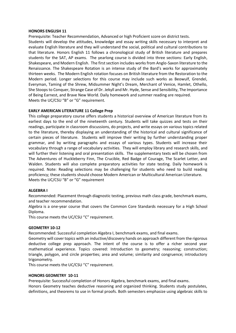#### **HONORS ENGLISH 11**

Prerequisite: Teacher Recommendation, Advanced or high Proficient score on district tests. Students will develop the attitudes, knowledge and essay writing skills necessary to interpret and evaluate English literature and they will understand the social, political and cultural contributions to that literature. Honors English 11 follows a chronological study of British literature and prepares students for the SAT, AP exams. The yearlong course is divided into three sections: Early English, Shakespeare, and Modern English. The first section includes works from Anglo-Saxon literature to the Renaissance. The Shakespeare Rotation is an intense study of the Bard's works for approximately thirteen weeks. The Modern English rotation focuses on British literature from the Restoration to the Modern period. Longer selections for this course may include such works as Beowulf, Grendel, Everyman, Taming of the Shrew, Midsummer Night's Dream, Merchant of Venice, Hamlet, Othello, She Stoops to Conquer, Strange Case of Dr. Jekyll and Mr. Hyde, Sense and Sensibility, The Importance of Being Earnest, and Brave New World. Daily homework and summer reading are required. Meets the UC/CSU "B" or "G" requirement.

# **EARLY AMERICAN LITERATURE 11 College Prep**

This college preparatory course offers students a historical overview of American literature from its earliest days to the end of the nineteenth century. Students will take quizzes and tests on their readings, participate in classroom discussions, do projects, and write essays on various topics related to the literature, thereby displaying an understanding of the historical and cultural significance of certain pieces of literature. Students will improve their writing by further understanding proper grammar, and by writing paragraphs and essays of various types. Students will increase their vocabulary through a range of vocabulary activities. They will employ library and research skills, and will further their listening and oral presentation skills. The supplementary texts will be chosen from The Adventures of Huckleberry Finn, The Crucible, Red Badge of Courage, The Scarlet Letter, and Walden. Students will also complete preparatory activities for state testing. Daily homework is required. Note: Reading selections may be challenging for students who need to build reading proficiency; these students should choose Modern American or Multicultural American Literature. Meets the UC/CSU "B" or "G" requirement

# **ALGEBRA I**

Recommended: Placement through diagnostic testing, previous math class grade, benchmark exams, and teacher recommendation.

Algebra is a one-year course that covers the Common Core Standards necessary for a High School Diploma.

This course meets the UC/CSU "C" requirement.

#### **GEOMETRY 10-12**

Recommended: Successful completion Algebra I, benchmark exams, and final exams.

Geometry will cover topics with an inductive/discovery hands on approach different from the rigorous deductive college prep approach. The intent of the course is to offer a richer second year mathematical experience. Topics covered: Introduction to geometry; reasoning; construction; triangle, polygon, and circle properties; area and volume; similarity and congruence; introductory trigonometry.

This course meets the UC/CSU "C" requirement.

#### **HONORS GEOMETRY 10-11**

Prerequisite: Successful completion of Honors Algebra, benchmark exams, and final exams. Honors Geometry teaches deductive reasoning and organized thinking. Students study postulates, definitions, and theorems to use in formal proofs. Both semesters emphasize using algebraic skills to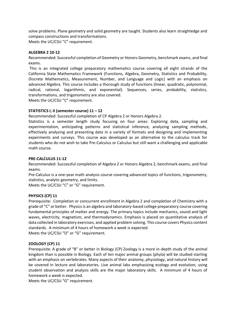solve problems. Plane geometry and solid geometry are taught. Students also learn straightedge and compass constructions and transformations.

Meets the UC/CSU "C" requirement.

# **ALGEBRA 2 10-12**

Recommended: Successful completion of Geometry or Honors Geometry, benchmark exams, and final exams.

This is an integrated college preparatory mathematics course covering all eight strands of the California State Mathematics Framework (Functions, Algebra, Geometry, Statistics and Probability, Discrete Mathematics, Measurement, Number, and Language and Logic) with an emphasis on advanced Algebra. This course includes a thorough study of functions (linear, quadratic, polynomial, radical, rational, logarithmic, and exponential). Sequences, series, probability, statistics, transformations, and trigonometry are also covered.

Meets the UC/CSU "C" requirement.

# **STATISTICS I, II (semester course) 11 – 12**

Recommended: Successful completion of CP Algebra 2 or Honors Algebra 2.

Statistics is a semester length study focusing on four areas: Exploring data, sampling and experimentation, anticipating patterns and statistical inference, analyzing sampling methods, effectively analyzing and presenting data in a variety of formats and designing and implementing experiments and surveys. This course was developed as an alternative to the calculus track for students who do not wish to take Pre-Calculus or Calculus but still want a challenging and applicable math course.

# **PRE-CALCULUS 11-12**

Recommended: Successful completion of Algebra 2 or Honors Algebra 2, benchmark exams, and final exams.

Pre-Calculus is a one-year math analysis course covering advanced topics of functions, trigonometry, statistics, analytic geometry, and limits.

Meets the UC/CSU "C" or "G" requirement.

# **PHYSICS (CP) 11**

Prerequisite: Completion or concurrent enrollment in Algebra 2 and completion of Chemistry with a grade of "C" or better. Physics is an algebra and laboratory-based college preparatory course covering fundamental principles of matter and energy. The primary topics include mechanics, sound and light waves, electricity, magnetism, and thermodynamics. Emphasis is placed on quantitative analysis of data collected in laboratory exercises, and applied problem solving. This course covers Physics content standards. A minimum of 4 hours of homework a week is expected. Meets the UC/CSU "D" or "G" requirement.

# **ZOOLOGY (CP) 11**

Prerequisite: A grade of "B" or better in Biology (CP) Zoology is a more in-depth study of the animal kingdom than is possible in Biology. Each of ten major animal groups (phyla) will be studied starting with an emphasis on vertebrates. Many aspects of their anatomy, physiology, and natural history will be covered in lecture and laboratories. Live animal labs emphasizing ecology and evolution, using student observation and analysis skills are the major laboratory skills. A minimum of 4 hours of homework a week is expected.

Meets the UC/CSU "G" requirement.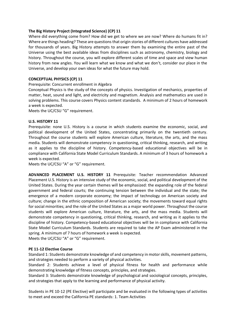# **The Big History Project (Integrated Science) (CP) 11**

Where did everything come from? How did we get to where we are now? Where do humans fit in? Where are things heading? These are questions that origin stories of different cultures have addressed for thousands of years. Big History attempts to answer them by examining the entire past of the Universe using the best available ideas from disciplines such as astronomy, chemistry, biology and history. Throughout the course, you will explore different scales of time and space and view human history from new angles. You will learn what we know and what we don't, consider our place in the Universe, and develop your own ideas for what the future may hold.

# **CONCEPTUAL PHYSICS (CP) 11**

# Prerequisite: Concurrent enrollment in Algebra

Conceptual Physics is the study of the concepts of physics. Investigation of mechanics, properties of matter, heat, sound and light, and electricity and magnetism. Analysis and mathematics are used in solving problems. This course covers Physics content standards. A minimum of 2 hours of homework a week is expected.

Meets the UC/CSU "G" requirement.

#### **U.S. HISTORY 11**

Prerequisite: none U.S. History is a course in which students examine the economic, social, and political development of the United States, concentrating primarily on the twentieth century. Throughout the course students will explore American culture, literature, the arts, and the mass media. Students will demonstrate competency in questioning, critical thinking, research, and writing as it applies to the discipline of history. Competency-based educational objectives will be in compliance with California State Model Curriculum Standards. A minimum of 3 hours of homework a week is expected.

Meets the UC/CSU "A" or "G" requirement.

**ADVANCED PLACEMENT U.S. HISTORY 11** Prerequisite: Teacher recommendation Advanced Placement U.S. History is an intensive study of the economic, social, and political development of the United States. During the year certain themes will be emphasized: the expanding role of the federal government and federal courts; the continuing tension between the individual and the state; the emergence of a modern corporate economy; the impact of technology on American society and culture; change in the ethnic composition of American society; the movements toward equal rights for social minorities; and the role of the United States as a major world power. Throughout the course students will explore American culture, literature, the arts, and the mass media. Students will demonstrate competency in questioning, critical thinking, research, and writing as it applies to the discipline of history. Competency-based educational objectives will be in compliance with California State Model Curriculum Standards. Students are required to take the AP Exam administered in the spring. A minimum of 7 hours of homework a week is expected.

Meets the UC/CSU "A" or "G" requirement.

# **PE 11-12 Elective Course**

Standard 1: Students demonstrate knowledge of and competency in motor skills, movement patterns, and strategies needed to perform a variety of physical activities.

Standard 2: Students achieve a level of physical fitness for health and performance while demonstrating knowledge of fitness concepts, principles, and strategies.

Standard 3: Students demonstrate knowledge of psychological and sociological concepts, principles, and strategies that apply to the learning and performance of physical activity.

Students in PE 10-12 (PE Elective) will participate and be evaluated in the following types of activities to meet and exceed the California PE standards: 1. Team Activities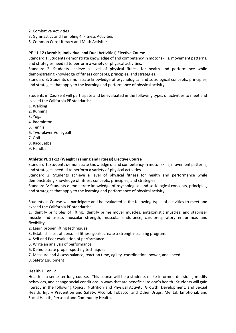- 2. Combative Activities
- 3. Gymnastics and Tumbling 4. Fitness Activities
- 5. Common Core Literacy and Math Activities

# **PE 11-12 (Aerobic, Individual and Dual Activities) Elective Course**

Standard 1: Students demonstrate knowledge of and competency in motor skills, movement patterns, and strategies needed to perform a variety of physical activities.

Standard 2: Students achieve a level of physical fitness for health and performance while demonstrating knowledge of fitness concepts, principles, and strategies.

Standard 3: Students demonstrate knowledge of psychological and sociological concepts, principles, and strategies that apply to the learning and performance of physical activity.

Students in Course 3 will participate and be evaluated in the following types of activities to meet and exceed the California PE standards:

- 1. Walking
- 2. Running
- 3. Yoga
- 4. Badminton
- 5. Tennis
- 6. Two-player Volleyball
- 7. Golf
- 8. Racquetball
- 9. Handball

# **Athletic PE 11-12 (Weight Training and Fitness) Elective Course**

Standard 1: Students demonstrate knowledge of and competency in motor skills, movement patterns, and strategies needed to perform a variety of physical activities.

Standard 2: Students achieve a level of physical fitness for health and performance while demonstrating knowledge of fitness concepts, principles, and strategies.

Standard 3: Students demonstrate knowledge of psychological and sociological concepts, principles, and strategies that apply to the learning and performance of physical activity.

Students in Course will participate and be evaluated in the following types of activities to meet and exceed the California PE standards:

1. Identify principles of lifting, identify prime mover muscles, antagonistic muscles, and stabilizer muscle and assess muscular strength, muscular endurance, cardiorespiratory endurance, and flexibility.

- 2. Learn proper lifting techniques
- 3. Establish a set of personal fitness goals; create a strength-training program.
- 4. Self and Peer evaluation of performance
- 5. Write an analysis of performance
- 6. Demonstrate proper spotting techniques
- 7. Measure and Assess balance, reaction time, agility, coordination, power, and speed.
- 8. Safety Equipment

# **Health 11 or 12**

Health is a semester long course. This course will help students make informed decisions, modify behaviors, and change social conditions in ways that are beneficial to one's health. Students will gain literacy in the following topics: Nutrition and Physical Activity, Growth, Development, and Sexual Health, Injury Prevention and Safety, Alcohol, Tobacco, and Other Drugs, Mental, Emotional, and Social Health, Personal and Community Health.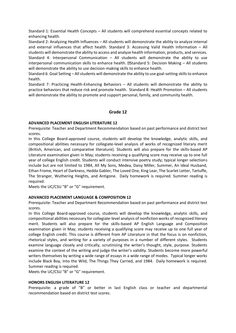Standard 1: Essential Health Concepts – All students will comprehend essential concepts related to enhancing health.

Standard 2: Analyzing Health Influences – All students will demonstrate the ability to analyze internal and external influences that affect health. Standard 3: Accessing Valid Health Information – All students will demonstrate the ability to access and analyze health information, products, and services. Standard 4: Interpersonal Communication – All students will demonstrate the ability to use interpersonal communication skills to enhance health. *EStandard 5: Decision Making – All students* will demonstrate the ability to use decision-making skills to enhance health.

Standard 6: Goal Setting – All students will demonstrate the ability to use goal-setting skills to enhance health.

Standard 7: Practicing Health-Enhancing Behaviors – All students will demonstrate the ability to practice behaviors that reduce risk and promote health. Standard 8: Health Promotion – All students will demonstrate the ability to promote and support personal, family, and community health.

# **Grade 12**

# **ADVANCED PLACEMENT ENGLISH LITERATURE 12**

Prerequisite: Teacher and Department Recommendation based on past performance and district test scores.

In this College Board-approved course, students will develop the knowledge, analytic skills, and compositional abilities necessary for collegiate-level analysis of works of recognized literary merit (British, American, and comparative literature). Students will also prepare for the skills-based AP Literature examination given in May; students receiving a qualifying score may receive up to one full year of college English credit. Students will conduct intensive poetry study; typical longer selections include but are not limited to 1984, All My Sons, Medea, Daisy Miller, Summer, An Ideal Husband, Ethan Frome, Heart of Darkness, Hedda Gabler, The Loved One, King Lear, The Scarlet Letter, Tartuffe, The Stranger, Wuthering Heights, and Antigone. Daily homework is required. Summer reading is required.

Meets the UC/CSU "B" or "G" requirement.

# **ADVANCED PLACEMENT LANGUAGE & COMPOSITION 12**

Prerequisite: Teacher and Department Recommendation based on past performance and district test scores.

In this College Board-approved course, students will develop the knowledge, analytic skills, and compositional abilities necessary for collegiate-level analysis of nonfiction works of recognized literary merit. Students will also prepare for the skills-based AP English Language and Composition examination given in May; students receiving a qualifying score may receive up to one full year of college English credit. This course is different from AP Literature in that the focus is on nonfiction, rhetorical styles, and writing for a variety of purposes in a number of different styles. Students examine language closely and critically, scrutinizing the writer's thought, style, purpose. Students examine the context of the writing and judge the writer's validity. Students become more powerful writers themselves by writing a wide range of essays in a wide range of modes. Typical longer works include Black Boy, Into the Wild, The Things They Carried, and 1984. Daily homework is required. Summer reading is required.

Meets the UC/CSU "B" or "G" requirement.

#### **HONORS ENGLISH LITERATURE 12**

Prerequisite: a grade of "B" or better in last English class or teacher and departmental recommendation based on district test scores.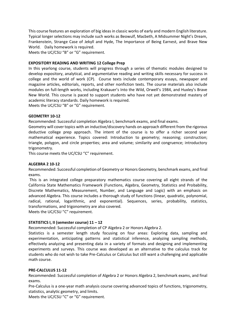This course features an exploration of big ideas in classic works of early and modern English literature. Typical longer selections may include such works as Beowulf, Macbeth, A Midsummer Night's Dream, Frankenstein, Strange Case of Jekyll and Hyde, The Importance of Being Earnest, and Brave New World. Daily homework is required.

Meets the UC/CSU "B" or "G" requirement.

# **EXPOSITORY READING AND WRITING 12 College Prep**

In this yearlong course, students will progress through a series of thematic modules designed to develop expository, analytical, and argumentative reading and writing skills necessary for success in college and the world of work (CP). Course texts include contemporary essays, newspaper and magazine articles, editorials, reports, and other nonfiction texts. The course materials also include modules on full-length works, including Krakauer's Into the Wild, Orwell's 1984, and Huxley's Brave New World. This course is paced to support students who have not yet demonstrated mastery of academic literacy standards. Daily homework is required.

Meets the UC/CSU "B" or "G" requirement.

# **GEOMETRY 10-12**

Recommended: Successful completion Algebra I, benchmark exams, and final exams.

Geometry will cover topics with an inductive/discovery hands on approach different from the rigorous deductive college prep approach. The intent of the course is to offer a richer second year mathematical experience. Topics covered: Introduction to geometry; reasoning; construction; triangle, polygon, and circle properties; area and volume; similarity and congruence; introductory trigonometry.

This course meets the UC/CSU "C" requirement.

# **ALGEBRA 2 10-12**

Recommended: Successful completion of Geometry or Honors Geometry, benchmark exams, and final exams.

This is an integrated college preparatory mathematics course covering all eight strands of the California State Mathematics Framework (Functions, Algebra, Geometry, Statistics and Probability, Discrete Mathematics, Measurement, Number, and Language and Logic) with an emphasis on advanced Algebra. This course includes a thorough study of functions (linear, quadratic, polynomial, radical, rational, logarithmic, and exponential). Sequences, series, probability, statistics, transformations, and trigonometry are also covered.

Meets the UC/CSU "C" requirement.

# **STATISTICS I, II (semester course) 11 – 12**

Recommended: Successful completion of CP Algebra 2 or Honors Algebra 2.

Statistics is a semester length study focusing on four areas: Exploring data, sampling and experimentation, anticipating patterns and statistical inference, analyzing sampling methods, effectively analyzing and presenting data in a variety of formats and designing and implementing experiments and surveys. This course was developed as an alternative to the calculus track for students who do not wish to take Pre-Calculus or Calculus but still want a challenging and applicable math course.

# **PRE-CALCULUS 11-12**

Recommended: Successful completion of Algebra 2 or Honors Algebra 2, benchmark exams, and final exams.

Pre-Calculus is a one-year math analysis course covering advanced topics of functions, trigonometry, statistics, analytic geometry, and limits.

Meets the UC/CSU "C" or "G" requirement.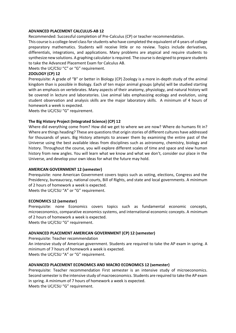#### **ADVANCED PLACEMENT CALCULUS-AB 12**

Recommended: Successful completion of Pre-Calculus (CP) or teacher recommendation.

This course is a college-level class for students who have completed the equivalent of 4 years of college preparatory mathematics. Students will receive little or no review. Topics include derivatives, differentials, integrations, and applications. Many problems are atypical and require students to synthesize new solutions. A graphing calculator is required. The course is designed to prepare students to take the Advanced Placement Exam for Calculus AB.

Meets the UC/CSU "C" or "G" requirement.

# **ZOOLOGY (CP) 12**

Prerequisite: A grade of "B" or better in Biology (CP) Zoology is a more in-depth study of the animal kingdom than is possible in Biology. Each of ten major animal groups (phyla) will be studied starting with an emphasis on vertebrates. Many aspects of their anatomy, physiology, and natural history will be covered in lecture and laboratories. Live animal labs emphasizing ecology and evolution, using student observation and analysis skills are the major laboratory skills. A minimum of 4 hours of homework a week is expected.

Meets the UC/CSU "G" requirement.

# **The Big History Project (Integrated Science) (CP) 12**

Where did everything come from? How did we get to where we are now? Where do humans fit in? Where are things heading? These are questions that origin stories of different cultures have addressed for thousands of years. Big History attempts to answer them by examining the entire past of the Universe using the best available ideas from disciplines such as astronomy, chemistry, biology and history. Throughout the course, you will explore different scales of time and space and view human history from new angles. You will learn what we know and what we don't, consider our place in the Universe, and develop your own ideas for what the future may hold.

#### **AMERICAN GOVERNMENT 12 (semester)**

Prerequisite: none American Government covers topics such as voting, elections, Congress and the Presidency, bureaucracy, national courts, Bill of Rights, and state and local governments. A minimum of 2 hours of homework a week is expected.

Meets the UC/CSU "A" or "G" requirement.

#### **ECONOMICS 12 (semester)**

Prerequisite: none Economics covers topics such as fundamental economic concepts, microeconomics, comparative economics systems, and international economic concepts. A minimum of 2 hours of homework a week is expected.

Meets the UC/CSU "G" requirement.

# **ADVANCED PLACEMENT AMERICAN GOVERNMENT (CP) 12 (semester)**

Prerequisite: Teacher recommendation

An intensive study of American government. Students are required to take the AP exam in spring. A minimum of 7 hours of homework a week is expected.

Meets the UC/CSU "A" or "G" requirement.

# **ADVANCED PLACEMENT ECONOMICS AND MACRO ECONOMICS 12 (semester)**

Prerequisite: Teacher recommendation First semester is an intensive study of microeconomics. Second semester is the intensive study of macroeconomics. Students are required to take the AP exam in spring. A minimum of 7 hours of homework a week is expected.

Meets the UC/CSU "G" requirement.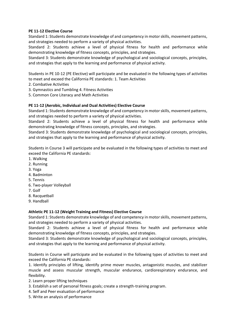# **PE 11-12 Elective Course**

Standard 1: Students demonstrate knowledge of and competency in motor skills, movement patterns, and strategies needed to perform a variety of physical activities.

Standard 2: Students achieve a level of physical fitness for health and performance while demonstrating knowledge of fitness concepts, principles, and strategies.

Standard 3: Students demonstrate knowledge of psychological and sociological concepts, principles, and strategies that apply to the learning and performance of physical activity.

Students in PE 10-12 (PE Elective) will participate and be evaluated in the following types of activities to meet and exceed the California PE standards: 1. Team Activities

- 2. Combative Activities
- 3. Gymnastics and Tumbling 4. Fitness Activities
- 5. Common Core Literacy and Math Activities

# **PE 11-12 (Aerobic, Individual and Dual Activities) Elective Course**

Standard 1: Students demonstrate knowledge of and competency in motor skills, movement patterns, and strategies needed to perform a variety of physical activities.

Standard 2: Students achieve a level of physical fitness for health and performance while demonstrating knowledge of fitness concepts, principles, and strategies.

Standard 3: Students demonstrate knowledge of psychological and sociological concepts, principles, and strategies that apply to the learning and performance of physical activity.

Students in Course 3 will participate and be evaluated in the following types of activities to meet and exceed the California PE standards:

- 1. Walking
- 2. Running
- 3. Yoga
- 4. Badminton
- 5. Tennis
- 6. Two-player Volleyball
- 7. Golf
- 8. Racquetball
- 9. Handball

# **Athletic PE 11-12 (Weight Training and Fitness) Elective Course**

Standard 1: Students demonstrate knowledge of and competency in motor skills, movement patterns, and strategies needed to perform a variety of physical activities.

Standard 2: Students achieve a level of physical fitness for health and performance while demonstrating knowledge of fitness concepts, principles, and strategies.

Standard 3: Students demonstrate knowledge of psychological and sociological concepts, principles, and strategies that apply to the learning and performance of physical activity.

Students in Course will participate and be evaluated in the following types of activities to meet and exceed the California PE standards:

1. Identify principles of lifting, identify prime mover muscles, antagonistic muscles, and stabilizer muscle and assess muscular strength, muscular endurance, cardiorespiratory endurance, and flexibility.

- 2. Learn proper lifting techniques
- 3. Establish a set of personal fitness goals; create a strength-training program.
- 4. Self and Peer evaluation of performance
- 5. Write an analysis of performance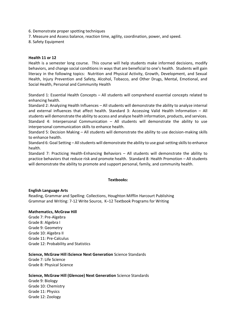- 6. Demonstrate proper spotting techniques
- 7. Measure and Assess balance, reaction time, agility, coordination, power, and speed.
- 8. Safety Equipment

#### **Health 11 or 12**

Health is a semester long course. This course will help students make informed decisions, modify behaviors, and change social conditions in ways that are beneficial to one's health. Students will gain literacy in the following topics: Nutrition and Physical Activity, Growth, Development, and Sexual Health, Injury Prevention and Safety, Alcohol, Tobacco, and Other Drugs, Mental, Emotional, and Social Health, Personal and Community Health

Standard 1: Essential Health Concepts – All students will comprehend essential concepts related to enhancing health.

Standard 2: Analyzing Health Influences – All students will demonstrate the ability to analyze internal and external influences that affect health. Standard 3: Accessing Valid Health Information – All students will demonstrate the ability to access and analyze health information, products, and services. Standard 4: Interpersonal Communication – All students will demonstrate the ability to use interpersonal communication skills to enhance health.

Standard 5: Decision Making – All students will demonstrate the ability to use decision-making skills to enhance health.

Standard 6: Goal Setting – All students will demonstrate the ability to use goal-setting skills to enhance health.

Standard 7: Practicing Health-Enhancing Behaviors – All students will demonstrate the ability to practice behaviors that reduce risk and promote health. Standard 8: Health Promotion – All students will demonstrate the ability to promote and support personal, family, and community health.

#### **Textbooks:**

#### **English Language Arts**

Reading, Grammar and Spelling: Collections, Houghton Mifflin Harcourt Publishing Grammar and Writing: 7-12 Write Source, K–12 Textbook Programs for Writing

#### **Mathematics, McGraw Hill**

Grade 7: Pre-Algebra Grade 8: Algebra I Grade 9: Geometry Grade 10: Algebra II Grade 11: Pre-Calculus Grade 12: Probability and Statistics

# **Science, McGraw Hill iScience Next Generation** Science Standards

Grade 7: Life Science Grade 8: Physical Science

#### **Science, McGraw Hill (Glencoe) Next Generation** Science Standards

Grade 9: Biology Grade 10: Chemistry Grade 11: Physics Grade 12: Zoology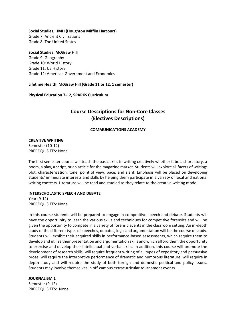**Social Studies, HMH (Houghton Mifflin Harcourt)**  Grade 7: Ancient Civilizations

Grade 8: The United States

# **Social Studies, McGraw Hill**

Grade 9: Geography Grade 10: World History Grade 11: US History Grade 12: American Government and Economics

# **Lifetime Health, McGraw Hill (Grade 11 or 12, 1 semester)**

**Physical Education 7-12, SPARKS Curriculum**

# **Course Descriptions for Non-Core Classes (Electives Descriptions)**

# **COMMUNICATIONS ACADEMY**

# **CREATIVE WRITING**

Semester (10-12) PREREQUISITES: None

The first semester course will teach the basic skills in writing creatively whether it be a short story, a poem, a play, a script, or an article for the magazine market. Students will explore all facets of writing: plot, characterization, tone, point of view, pace, and slant. Emphasis will be placed on developing students' immediate interests and skills by helping them participate in a variety of local and national writing contests. Literature will be read and studied as they relate to the creative writing mode.

# **INTERSCHOLASTIC SPEECH AND DEBATE**

Year (9-12) PREREQUISITES: None

In this course students will be prepared to engage in competitive speech and debate. Students will have the opportunity to learn the various skills and techniques for competitive forensics and will be given the opportunity to compete in a variety of forensic events in the classroom setting. An in-depth study of the different types of speeches, debates, logic and argumentation will be the course of study. Students will exhibit their acquired skills in performance-based assessments, which require them to develop and utilize their presentation and argumentation skills and which afford them the opportunity to exercise and develop their intellectual and verbal skills. In addition, this course will promote the development of research skills, will require frequent writing of all types of expository and persuasive prose, will require the interpretive performance of dramatic and humorous literature, will require in depth study and will require the study of both foreign and domestic political and policy issues. Students may involve themselves in off-campus extracurricular tournament events.

**JOURNALISM 1**  Semester (9-12) PREREQUISITES: None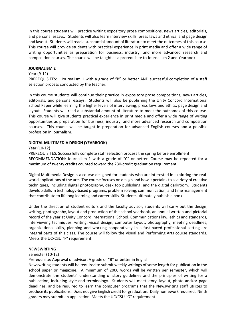In this course students will practice writing expository prose compositions, news articles, editorials, and personal essays. Students will also learn interview skills, press laws and ethics, and page design and layout. Students will read a substantial amount of literature to meet the outcomes of this course. This course will provide students with practical experience in print media and offer a wide range of writing opportunities as preparation for business, industry, and more advanced research and composition courses. The course will be taught as a prerequisite to Journalism 2 and Yearbook.

#### **JOURNALISM 2**

#### Year (9-12)

PREREQUISITES: Journalism 1 with a grade of "B" or better AND successful completion of a staff selection process conducted by the teacher.

In this course students will continue their practice in expository prose compositions, news articles, editorials, and personal essays. Students will also be publishing the Unity Concord International School Paper while learning the higher levels of interviewing, press laws and ethics, page design and layout. Students will read a substantial amount of literature to meet the outcomes of this course. This course will give students practical experience in print media and offer a wide range of writing opportunities as preparation for business, industry, and more advanced research and composition courses. This course will be taught in preparation for advanced English courses and a possible profession in journalism.

#### **DIGITAL MULTIMEDIA DESIGN (YEARBOOK)**

Year (10-12)

PREREQUISITES: Successfully complete staff selection process the spring before enrollment RECOMMENDATION: Journalism 1 with a grade of "C" or better. Course may be repeated for a maximum of twenty credits counted toward the 230-credit graduation requirement.

Digital Multimedia Design is a course designed for students who are interested in exploring the realworld applications of the arts. The course focuses on design and how it pertains to a variety of creative techniques, including digital photography, desk top publishing, and the digital darkroom. Students develop skills in technology-based programs, problem solving, communication, and time management that contribute to lifelong learning and career skills. Students ultimately publish a book.

Under the direction of student editors and the faculty advisor, students will carry out the design, writing, photography, layout and production of the school yearbook, an annual written and pictorial record of the year at Unity Concord International School. Communications law, ethics and standards, interviewing techniques, writing, visual design, computer layout, photography, meeting deadlines, organizational skills, planning and working cooperatively in a fast-paced professional setting are integral parts of this class. The course will follow the Visual and Performing Arts course standards. Meets the UC/CSU "F" requirement.

#### **NEWSWRITING**

#### Semester (10-12)

Prerequisite: Approval of advisor. A grade of "B" or better in English

Newswriting students will be required to submit weekly writings of some length for publication in the school paper or magazine. A minimum of 2000 words will be written per semester, which will demonstrate the students' understanding of story guidelines and the principles of writing for a publication, including style and terminology.Students will meet story, layout, photo and/or page deadlines, and be required to learn the computer programs that the Newswriting staff utilizes to produce its publications. Does not give English credit for graduation. Daily homework required. Ninth graders may submit an application. Meets the UC/CSU "G" requirement.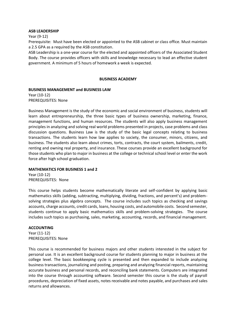#### **ASB LEADERSHIP**

Year (9-12)

Prerequisite: Must have been elected or appointed to the ASB cabinet or class office. Must maintain a 2.5 GPA as a required by the ASB constitution.

ASB Leadership is a one-year course for the elected and appointed officers of the Associated Student Body. The course provides officers with skills and knowledge necessary to lead an effective student government. A minimum of 5 hours of homework a week is expected.

#### **BUSINESS ACADEMY**

# **BUSINESS MANAGEMENT and BUSINESS LAW**

Year (10-12) PREREQUISITES: None

Business Management is the study of the economic and social environment of business, students will learn about entrepreneurship, the three basic types of business ownership, marketing, finance, management functions, and human resources. The students will also apply business management principles in analyzing and solving real world problems presented in projects, case problems and class discussion questions. Business Law is the study of the basic legal concepts relating to business transactions. The students learn how law applies to society, the consumer, minors, citizens, and business. The students also learn about crimes, torts, contracts, the court system, bailments, credit, renting and owning real property, and insurance. These courses provide an excellent background for those students who plan to major in business at the college or technical school level or enter the work force after high school graduation.

# **MATHEMATICS FOR BUSINESS 1 and 2**

Year (10-12) PREREQUISITES: None

This course helps students become mathematically literate and self-confident by applying basic mathematics skills (adding, subtracting, multiplying, dividing, fractions, and percent's) and problemsolving strategies plus algebra concepts. The course includes such topics as checking and savings accounts, charge accounts, credit cards, loans, housing costs, and automobile costs. Second semester, students continue to apply basic mathematics skills and problem-solving strategies. The course includes such topics as purchasing, sales, marketing, accounting, records, and financial management.

# **ACCOUNTING**

Year (11-12) PREREQUISITES: None

This course is recommended for business majors and other students interested in the subject for personal use. It is an excellent background course for students planning to major in business at the college level. The basic bookkeeping cycle is presented and then expanded to include analyzing business transactions, journalizing and posting, preparing and analyzing financial reports, maintaining accurate business and personal records, and reconciling bank statements. Computers are integrated into the course through accounting software. Second semester this course is the study of payroll procedures, depreciation of fixed assets, notes receivable and notes payable, and purchases and sales returns and allowances.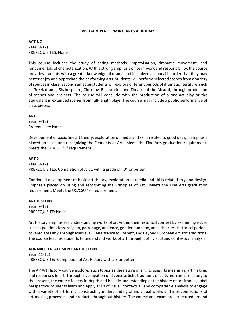#### **VISUAL & PERFORMING ARTS ACADEMY**

**ACTING**  Year (9-12) PREREQUISITES: None

This course includes the study of acting methods, improvisation, dramatic movement, and fundamentals of characterization. With a strong emphasis on teamwork and responsibility, the course provides students with a greater knowledge of drama and its universal appeal in order that they may better enjoy and appreciate the performing arts. Students will perform selected scenes from a variety of sources in class. Second semester students will explore different periods of dramatic literature, such as Greek drama, Shakespeare, Chekhov, Restoration and Theatre of the Absurd, through production of scenes and projects. The course will conclude with the production of a one-act play or the equivalent in extended scenes from full-length plays. The course may include a public performance of class pieces.

#### **ART 1**

Year (9-12) Prerequisite: None

Development of basic fine art theory, exploration of media and skills related to good design. Emphasis placed on using and recognizing the Elements of Art. Meets the Fine Arts graduation requirement. Meets the UC/CSU "F" requirement.

#### **ART 2**

Year (9-12) PREREQUISITES: Completion of Art 1 with a grade of "D" or better.

Continued development of basic art theory, exploration of media and skills related to good design. Emphasis placed on using and recognizing the Principles of Art. Meets the Fine Arts graduation requirement. Meets the UC/CSU "F" requirement.

#### **ART HISTORY**

Year (9-12) PREREQUISITE: None

Art History emphasizes understanding works of art within their historical context by examining issues such as politics, class, religion, patronage, audience, gender, function, and ethnicity. Historical periods covered are Early Through Medieval, Renaissance to Present, and Beyond European Artistic Traditions. The course teaches students to understand works of art through both visual and contextual analysis.

# **ADVANCED PLACEMENT ART HISTORY**

Year (11-12) PREREQUISITE: Completion of Art History with a B or better.

The AP Art History course explores such topics as the nature of art, its uses, its meanings, art making, and responses to art. Through investigation of diverse artistic traditions of cultures from prehistory to the present, the course fosters in-depth and holistic understanding of the history of art from a global perspective. Students learn and apply skills of visual, contextual, and comparative analysis to engage with a variety of art forms, constructing understanding of individual works and interconnections of art-making processes and products throughout history. The course and exam are structured around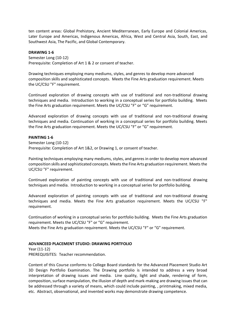ten content areas: Global Prehistory, Ancient Mediterranean, Early Europe and Colonial Americas, Later Europe and Americas, Indigenous Americas, Africa, West and Central Asia, South, East, and Southwest Asia, The Pacific, and Global Contemporary.

#### **DRAWING 1-6**

Semester Long (10-12) Prerequisite: Completion of Art 1 & 2 or consent of teacher.

Drawing techniques employing many mediums, styles, and genres to develop more advanced composition skills and sophisticated concepts. Meets the Fine Arts graduation requirement. Meets the UC/CSU "F" requirement.

Continued exploration of drawing concepts with use of traditional and non-traditional drawing techniques and media. Introduction to working in a conceptual series for portfolio building. Meets the Fine Arts graduation requirement. Meets the UC/CSU "F" or "G" requirement.

Advanced exploration of drawing concepts with use of traditional and non-traditional drawing techniques and media. Continuation of working in a conceptual series for portfolio building. Meets the Fine Arts graduation requirement. Meets the UC/CSU "F" or "G" requirement.

#### **PAINTING 1-6**

Semester Long (10-12) Prerequisite: Completion of Art 1&2, or Drawing 1, or consent of teacher.

Painting techniques employing many mediums, styles, and genres in order to develop more advanced composition skills and sophisticated concepts. Meets the Fine Arts graduation requirement. Meets the UC/CSU "F" requirement.

Continued exploration of painting concepts with use of traditional and non-traditional drawing techniques and media. Introduction to working in a conceptual series for portfolio building.

Advanced exploration of painting concepts with use of traditional and non-traditional drawing techniques and media. Meets the Fine Arts graduation requirement. Meets the UC/CSU "F" requirement.

Continuation of working in a conceptual series for portfolio building. Meets the Fine Arts graduation requirement. Meets the UC/CSU "F" or "G" requirement.

Meets the Fine Arts graduation requirement. Meets the UC/CSU "F" or "G" requirement.

# **ADVANCEED PLACEMENT STUDIO: DRAWING PORTFOLIO**

Year (11-12) PREREQUISITES: Teacher recommendation.

Content of this Course conforms to College Board standards for the Advanced Placement Studio Art 3D Design Portfolio Examination. The Drawing portfolio is intended to address a very broad interpretation of drawing issues and media. Line quality, light and shade, rendering of form, composition, surface manipulation, the illusion of depth and mark-making are drawing issues that can be addressed through a variety of means, which could include painting, , printmaking, mixed media, etc. Abstract, observational, and invented works may demonstrate drawing competence.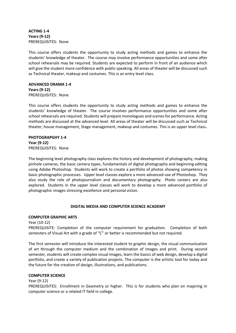**ACTING 1-4 Years (9-12)** PREREQUISITES: None

This course offers students the opportunity to study acting methods and games to enhance the students' knowledge of theater. The course may involve performance opportunities and some after school rehearsals may be required. Students are expected to perform in front of an audience which will give the student more confidence with public speaking. All areas of theater will be discussed such as Technical theater, makeup and costumes. This is an entry level class.

# **ADVANCED DRAMA 1-4 Years (9-12)** PREREQUISITES: None

This course offers students the opportunity to study acting methods and games to enhance the students' knowledge of theater. The course involves performance opportunities and some after school rehearsals are required. Students will prepare monologues and scenes for performance. Acting methods are discussed at the advanced level. All areas of theater will be discussed such as Technical theater, house management, Stage management, makeup and costumes. This is an upper level class**.**

#### **PHOTOGRAPGHY 1-4 Year (9-12)** PREREQUISITES: None

The beginning level photography class explores the history and development of photography, making pinhole cameras, the basic camera types, fundamentals of digital photography and beginning editing using Adobe Photoshop. Students will work to create a portfolio of photos showing competency in basic photographic processes. Upper level classes explore a more advanced use of Photoshop. They also study the role of photojournalism and documentary photography. Photo careers are also explored. Students in the upper level classes will work to develop a more advanced portfolio of photographic images stressing excellence and personal vision.

# **DIGITAL MEDIA AND COMPUTER SCIENCE ACADEMY**

# **COMPUTER GRAPHIC ARTS**

Year (10-12) PREREQUISITE: Completion of the computer requirement for graduation. Completion of both semesters of Visual Art with a grade of "C" or better is recommended but not required.

The first semester will introduce the interested student to graphic design, the visual communication of art through the computer medium and the combination of images and print. During second semester, students will create complex visual images, learn the basics of web design, develop a digital portfolio, and create a variety of publication projects. The computer is the artistic tool for today and the future for the creation of design, illustrations, and publications.

# **COMPUTER SCIENCE**

Year (9-12)

PREREQUISITES: Enrollment in Geometry or higher. This is for students who plan on majoring in computer science or a related IT field in college.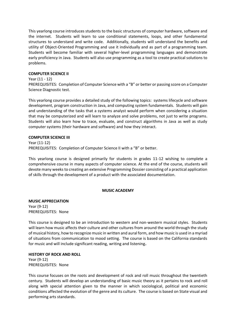This yearlong course introduces students to the basic structures of computer hardware, software and the internet. Students will learn to use conditional statements, loops, and other fundamental structures to understand and write code. Additionally, students will understand the benefits and utility of Object-Oriented Programming and use it individually and as part of a programming team. Students will become familiar with several higher-level programming languages and demonstrate early proficiency in Java. Students will also use programming as a tool to create practical solutions to problems.

#### **COMPUTER SCIENCE II**

#### Year (11 - 12)

PREREQUISITES: Completion of Computer Science with a "B" or better or passing score on a Computer Science Diagnostic test.

This yearlong course provides a detailed study of the following topics: systems lifecycle and software development, program construction in Java, and computing system fundamentals. Students will gain and understanding of the tasks that a systems analyst would perform when considering a situation that may be computerized and will learn to analyze and solve problems, not just to write programs. Students will also learn how to trace, evaluate, and construct algorithms in Java as well as study computer systems (their hardware and software) and how they interact.

#### **COMPUTER SCIENCE III**

Year (11-12) PREREQUISITES: Completion of Computer Science II with a "B" or better.

This yearlong course is designed primarily for students in grades 11-12 wishing to complete a comprehensive course in many aspects of computer science. At the end of the course, students will devote many weeks to creating an extensive Programming Dossier consisting of a practical application of skills through the development of a product with the associated documentation.

#### **MUSIC ACADEMY**

# **MUSIC APPRECIATION**  Year (9-12) PREREQUISITES: None

This course is designed to be an introduction to western and non-western musical styles. Students will learn how music affects their culture and other cultures from around the world through the study of musical history, how to recognize music in written and aural form, and how music is used in a myriad of situations from communication to mood setting. The course is based on the California standards for music and will include significant reading, writing and listening**.**

#### **HISTORY OF ROCK AND ROLL**

Year (9-12) PREREQUISITES: None

This course focuses on the roots and development of rock and roll music throughout the twentieth century. Students will develop an understanding of basic music theory as it pertains to rock and roll along with special attention given to the manner in which sociological, political and economic conditions affected the evolution of the genre and its culture. The course is based on State visual and performing arts standards.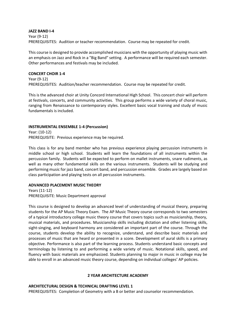#### **JAZZ BAND I-4**

Year (9-12) PREREQUISITES: Audition or teacher recommendation. Course may be repeated for credit.

This course is designed to provide accomplished musicians with the opportunity of playing music with an emphasis on Jazz and Rock in a "Big Band" setting. A performance will be required each semester. Other performances and festivals may be included.

# **CONCERT CHOIR 1-4**

Year (9-12) PREREQUISITES: Audition/teacher recommendation. Course may be repeated for credit.

This is the advanced choir at Unity Concord International High School. This concert choir will perform at festivals, concerts, and community activities. This group performs a wide variety of choral music, ranging from Renaissance to contemporary styles. Excellent basic vocal training and study of music fundamentals is included.

# **INSTRUMENTAL ENSEMBLE 1-4 (Percussion)**

Year: (10-12) PREREQUISITE: Previous experience may be required.

This class is for any band member who has previous experience playing percussion instruments in middle school or high school. Students will learn the foundations of all instruments within the percussion family. Students will be expected to perform on mallet instruments, snare rudiments, as well as many other fundamental skills on the various instruments. Students will be studying and performing music for jazz band, concert band, and percussion ensemble. Grades are largely based on class participation and playing tests on all percussion instruments.

# **ADVANCED PLACEMENT MUSIC THEORY**

Years (11-12) PREREQUISITE: Music Department approval

This course is designed to develop an advanced level of understanding of musical theory, preparing students for the AP Music Theory Exam. The AP Music Theory course corresponds to two semesters of a typical introductory college music theory course that covers topics such as musicianship, theory, musical materials, and procedures. Musicianship skills including dictation and other listening skills, sight-singing, and keyboard harmony are considered an important part of the course. Through the course, students develop the ability to recognize, understand, and describe basic materials and processes of music that are heard or presented in a score. Development of aural skills is a primary objective. Performance is also part of the learning process. Students understand basic concepts and terminology by listening to and performing a wide variety of music. Notational skills, speed, and fluency with basic materials are emphasized. Students planning to major in music in college may be able to enroll in an advanced music theory course, depending on individual colleges' AP policies.

# **2 YEAR ARCHITECTURE ACADEMY**

# **ARCHITECTURAL DESIGN & TECHNICAL DRAFTING LEVEL 1**

PREREQUISITES: Completion of Geometry with a B or better and counselor recommendation.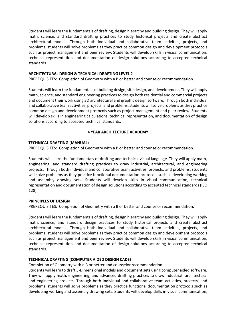Students will learn the fundamentals of drafting, design hierarchy and building design. They will apply math, science, and standard drafting practices to study historical projects and create abstract architectural models. Through both individual and collaborative team activities, projects, and problems, students will solve problems as they practice common design and development protocols such as project management and peer review. Students will develop skills in visual communication, technical representation and documentation of design solutions according to accepted technical standards.

# **ARCHITECTURAL DESIGN & TECHNICAL DRAFTING LEVEL 2**

PREREQUISITES: Completion of Geometry with a B or better and counselor recommendation.

Students will learn the fundamentals of building design, site design, and development. They will apply math, science, and standard engineering practices to design both residential and commercial projects and document their work using 3D architectural and graphic design software. Through both individual and collaborative team activities, projects, and problems, students will solve problems as they practice common design and development protocols such as project management and peer review. Students will develop skills in engineering calculations, technical representation, and documentation of design solutions according to accepted technical standards.

# **4 YEAR ARCHITECTURE ACADEMY**

# **TECHNICAL DRAFTING (MANUAL)**

PREREQUISITES: Completion of Geometry with a B or better and counselor recommendation.

Students will learn the fundamentals of drafting and technical visual language. They will apply math, engineering, and standard drafting practices to draw industrial, architectural, and engineering projects. Through both individual and collaborative team activities, projects, and problems, students will solve problems as they practice functional documentation protocols such as developing working and assembly drawing sets. Students will develop skills in visual communication, technical representation and documentation of design solutions according to accepted technical standards (ISO 128).

# **PRINCIPLES OF DESIGN**

PREREQUISITES: Completion of Geometry with a B or better and counselor recommendation.

Students will learn the fundamentals of drafting, design hierarchy and building design. They will apply math, science, and standard design practices to study historical projects and create abstract architectural models. Through both individual and collaborative team activities, projects, and problems, students will solve problems as they practice common design and development protocols such as project management and peer review. Students will develop skills in visual communication, technical representation and documentation of design solutions according to accepted technical standards.

# **TECHNICAL DRAFTING (COMPUTER AIDED DESIGN CADS)**

Completion of Geometry with a B or better and counselor recommendation.

Students will learn to draft 3-Dimensional models and document sets using computer aided software. They will apply math, engineering, and advanced drafting practices to draw industrial, architectural and engineering projects. Through both individual and collaborative team activities, projects, and problems, students will solve problems as they practice functional documentation protocols such as developing working and assembly drawing sets. Students will develop skills in visual communication,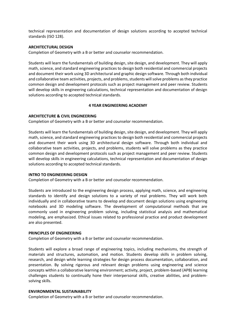technical representation and documentation of design solutions according to accepted technical standards (ISO 128).

#### **ARCHITECTURAL DESIGN**

Completion of Geometry with a B or better and counselor recommendation.

Students will learn the fundamentals of building design, site design, and development. They will apply math, science, and standard engineering practices to design both residential and commercial projects and document their work using 3D architectural and graphic design software. Through both individual and collaborative team activities, projects, and problems, students will solve problems as they practice common design and development protocols such as project management and peer review. Students will develop skills in engineering calculations, technical representation and documentation of design solutions according to accepted technical standards.

#### **4 YEAR ENGINEERING ACADEMY**

#### **ARCHITECTURE & CIVIL ENGINEERING**

Completion of Geometry with a B or better and counselor recommendation.

Students will learn the fundamentals of building design, site design, and development. They will apply math, science, and standard engineering practices to design both residential and commercial projects and document their work using 3D architectural design software. Through both individual and collaborative team activities, projects, and problems, students will solve problems as they practice common design and development protocols such as project management and peer review. Students will develop skills in engineering calculations, technical representation and documentation of design solutions according to accepted technical standards.

#### **INTRO TO ENGINEERING DESIGN**

Completion of Geometry with a B or better and counselor recommendation.

Students are introduced to the engineering design process, applying math, science, and engineering standards to identify and design solutions to a variety of real problems. They will work both individually and in collaborative teams to develop and document design solutions using engineering notebooks and 3D modeling software. The development of computational methods that are commonly used in engineering problem solving, including statistical analysis and mathematical modeling, are emphasized. Ethical issues related to professional practice and product development are also presented.

#### **PRINCIPLES OF ENGINEERING**

Completion of Geometry with a B or better and counselor recommendation.

Students will explore a broad range of engineering topics, including mechanisms, the strength of materials and structures, automation, and motion. Students develop skills in problem solving, research, and design while learning strategies for design process documentation, collaboration, and presentation. By solving rigorous and relevant design problems using engineering and science concepts within a collaborative learning environment; activity, project, problem-based (APB) learning challenges students to continually hone their interpersonal skills, creative abilities, and problemsolving skills.

# **ENVIRONMENTAL SUSTAINABILITY**

Completion of Geometry with a B or better and counselor recommendation.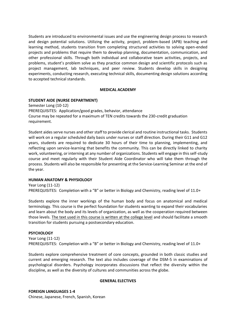Students are introduced to environmental issues and use the engineering design process to research and design potential solutions. Utilizing the activity, project, problem-based (APB) teaching and learning method, students transition from completing structured activities to solving open-ended projects and problems that require them to develop planning, documentation, communication, and other professional skills. Through both individual and collaborative team activities, projects, and problems, student's problem solve as they practice common design and scientific protocols such as project management, lab techniques, and peer review. Students develop skills in designing experiments, conducting research, executing technical skills, documenting design solutions according to accepted technical standards.

# **MEDICAL ACADEMY**

#### **STUDENT AIDE (NURSE DEPARTMENT)**

Semester Long (10-12) PREREQUISITES: Application/good grades, behavior, attendance Course may be repeated for a maximum of TEN credits towards the 230-credit graduation requirement.

Student aides serve nurses and other staff to provide clerical and routine instructional tasks. Students will work on a regular scheduled daily basis under nurses or staff direction. During their G11 and G12 years, students are required to dedicate 30 hours of their time to planning, implementing, and reflecting upon service-learning that benefits the community. This can be directly linked to charity work, volunteering, or interning at any number of organizations. Students will engage in this self-study course and meet regularly with their Student Aide Coordinator who will take them through the process. Students will also be responsible for presenting at the Service-Learning Seminar at the end of the year.

#### **HUMAN ANATOMY & PHYSIOLOGY**

Year Long (11-12) PREREQUISITES: Completion with a "B" or better in Biology and Chemistry, reading level of 11.0+

Students explore the inner workings of the human body and focus on anatomical and medical terminology. This course is the perfect foundation for students wanting to expand their vocabularies and learn about the body and its levels of organization, as well as the cooperation required between those levels. The text used in this course is written at the college level and should facilitate a smooth transition for students pursuing a postsecondary education.

#### **PSYCHOLOGY**

Year Long (11-12) PREREQUISITES: Completion with a "B" or better in Biology and Chemistry, reading level of 11.0+

Students explore comprehensive treatment of core concepts, grounded in both classic studies and current and emerging research. The text also includes coverage of the DSM-5 in examinations of psychological disorders. Psychology incorporates discussions that reflect the diversity within the discipline, as well as the diversity of cultures and communities across the globe.

#### **GENERAL ELECTIVES**

**FOREIGN LANGUAGES 1-4** Chinese, Japanese, French, Spanish, Korean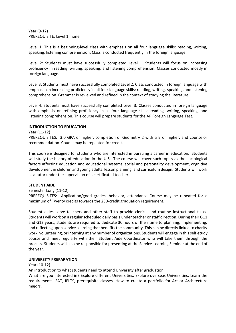Year (9-12) PREREQUISITE: Level 1, none

Level 1: This is a beginning-level class with emphasis on all four language skills: reading, writing, speaking, listening comprehension. Class is conducted frequently in the foreign language.

Level 2: Students must have successfully completed Level 1. Students will focus on increasing proficiency in reading, writing, speaking, and listening comprehension. Classes conducted mostly in foreign language.

Level 3: Students must have successfully completed Level 2. Class conducted in foreign language with emphasis on increasing proficiency in all four language skills: reading, writing, speaking, and listening comprehension. Grammar is reviewed and refined in the context of studying the literature.

Level 4: Students must have successfully completed Level 3. Classes conducted in foreign language with emphasis on refining proficiency in all four language skills: reading, writing, speaking, and listening comprehension. This course will prepare students for the AP Foreign Language Test.

#### **INTRODUCTION TO EDUCATION**

Year (11-12)

PREREQUISITES: 3.0 GPA or higher, completion of Geometry 2 with a B or higher, and counselor recommendation. Course may be repeated for credit.

This course is designed for students who are interested in pursuing a career in education. Students will study the history of education in the U.S. The course will cover such topics as the sociological factors affecting education and educational systems, social and personality development, cognitive development in children and young adults, lesson planning, and curriculum design. Students will work as a tutor under the supervision of a certificated teacher.

#### **STUDENT AIDE**

#### Semester Long (11-12)

PREREQUISITES: Application/good grades, behavior, attendance Course may be repeated for a maximum of Twenty credits towards the 230-credit graduation requirement.

Student aides serve teachers and other staff to provide clerical and routine instructional tasks. Students will work on a regular scheduled daily basis under teacher or staff direction. During their G11 and G12 years, students are required to dedicate 30 hours of their time to planning, implementing, and reflecting upon service-learning that benefits the community. This can be directly linked to charity work, volunteering, or interning at any number of organizations. Students will engage in this self-study course and meet regularly with their Student Aide Coordinator who will take them through the process. Students will also be responsible for presenting at the Service-Learning Seminar at the end of the year.

#### **UNIVERSITY PREPARATION**

Year (10-12)

An introduction to what students need to attend University after graduation.

What are you interested in? Explore different Universities. Explore overseas Universities. Learn the requirements, SAT, IELTS, prerequisite classes. How to create a portfolio for Art or Architecture majors.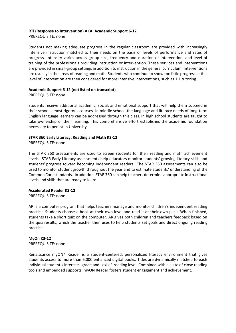# **RTi (Response to Intervention) AKA: Academic Support 6-12**

PREREQUISITE: none

Students not making adequate progress in the regular classroom are provided with increasingly intensive instruction matched to their needs on the basis of levels of performance and rates of progress. Intensity varies across group size, frequency and duration of intervention, and level of training of the professionals providing instruction or intervention. These services and interventions are provided in small-group settings in addition to instruction in the general curriculum. Interventions are usually in the areas of reading and math. Students who continue to show too little progress at this level of intervention are then considered for more intensive interventions, such as 1:1 tutoring.

# **Academic Support 6-12 (not listed on transcript)**

PREREQUISITE: none

Students receive additional academic, social, and emotional support that will help them succeed in their school's most rigorous courses. In middle school, the language and literacy needs of long-term English language learners can be addressed through this class. In high school students are taught to take ownership of their learning. This comprehensive effort establishes the academic foundation necessary to persist in University.

# **STAR 360 Early Literacy, Reading and Math K3-12**

PREREQUISITE: none

The STAR 360 assessments are used to screen students for their reading and math achievement levels. STAR Early Literacy assessments help educators monitor students' growing literacy skills and students' progress toward becoming independent readers. The STAR 360 assessments can also be used to monitor student growth throughout the year and to estimate students' understanding of the Common Core standards. In addition, STAR 360 can help teachers determine appropriate instructional levels and skills that are ready to learn.

# **Accelerated Reader K3-12**

PREREQUISITE: none

AR is a computer program that helps teachers manage and monitor children's independent reading practice. Students choose a book at their own level and read it at their own pace. When finished, students take a short quiz on the computer. AR gives both children and teachers feedback based on the quiz results, which the teacher then uses to help students set goals and direct ongoing reading practice.

#### **MyOn K3-12** PREREQUISITE: none

Renaissance myON® Reader is a student-centered, personalized literacy environment that gives students access to more than 6,000 enhanced digital books. Titles are dynamically matched to each individual student's interests, grade and Lexile® reading level. Combined with a suite of close reading tools and embedded supports, myON Reader fosters student engagement and achievement.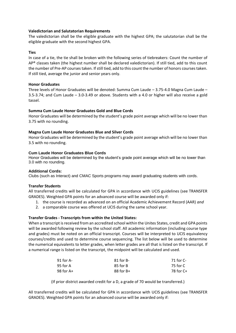# **Valedictorian and Salutatorian Requirements**

The valedictorian shall be the eligible graduate with the highest GPA; the salutatorian shall be the eligible graduate with the second highest GPA.

# **Ties**

In case of a tie, the tie shall be broken with the following series of tiebreakers: Count the number of AP® classes taken (the highest number shall be declared valedictorian). If still tied, add to this count the number of Pre-AP courses taken. If still tied, add to this count the number of honors courses taken. If still tied, average the junior and senior years only.

# **Honor Graduates**

Three levels of Honor Graduates will be denoted: Summa Cum Laude – 3.75-4.0 Magna Cum Laude – 3.5-3.74; and Cum Laude – 3.0-3.49 or above. Students with a 4.0 or higher will also receive a gold tassel.

# **Summa Cum Laude Honor Graduates Gold and Blue Cords**

Honor Graduates will be determined by the student's grade point average which will be no lower than 3.75 with no rounding.

# **Magna Cum Laude Honor Graduates Blue and Silver Cords**

Honor Graduates will be determined by the student's grade point average which will be no lower than 3.5 with no rounding.

# **Cum Laude Honor Graduates Blue Cords**

Honor Graduates will be determined by the student's grade point average which will be no lower than 3.0 with no rounding.

# **Additional Cords:**

Clubs (such as Interact) and CMAC Sports programs may award graduating students with cords.

# **Transfer Students**

All transferred credits will be calculated for GPA in accordance with UCIS guidelines (see TRANSFER GRADES). Weighted GPA points for an advanced course will be awarded only if:

- 1. the course is recorded as advanced on an official Academic Achievement Record (AAR) *and*
- 2. a comparable course was offered at UCIS during the same school year.

# **Transfer Grades - Transcripts from within the United States:**

When a transcript is received from an accredited school within the Unites States, credit and GPA points will be awarded following review by the school staff. All academic information (including course type and grades) must be noted on an official transcript. Courses will be interpreted to UCIS equivalency courses/credits and used to determine course sequencing. The list below will be used to determine the numerical equivalents to letter grades, when letter grades are all that is listed on the transcript. If a numerical range is listed on the transcript, the midpoint will be calculated and used.

| $91$ for A- | 81 for B-   | 71 for C- |
|-------------|-------------|-----------|
| 95 for A    | 85 for B    | 75 for C  |
| 98 for $A+$ | $88$ for B+ | 78 for C+ |

(If prior district awarded credit for a D, a grade of 70 would be transferred.)

All transferred credits will be calculated for GPA in accordance with UCIS guidelines (see TRANSFER GRADES). Weighted GPA points for an advanced course will be awarded only if: